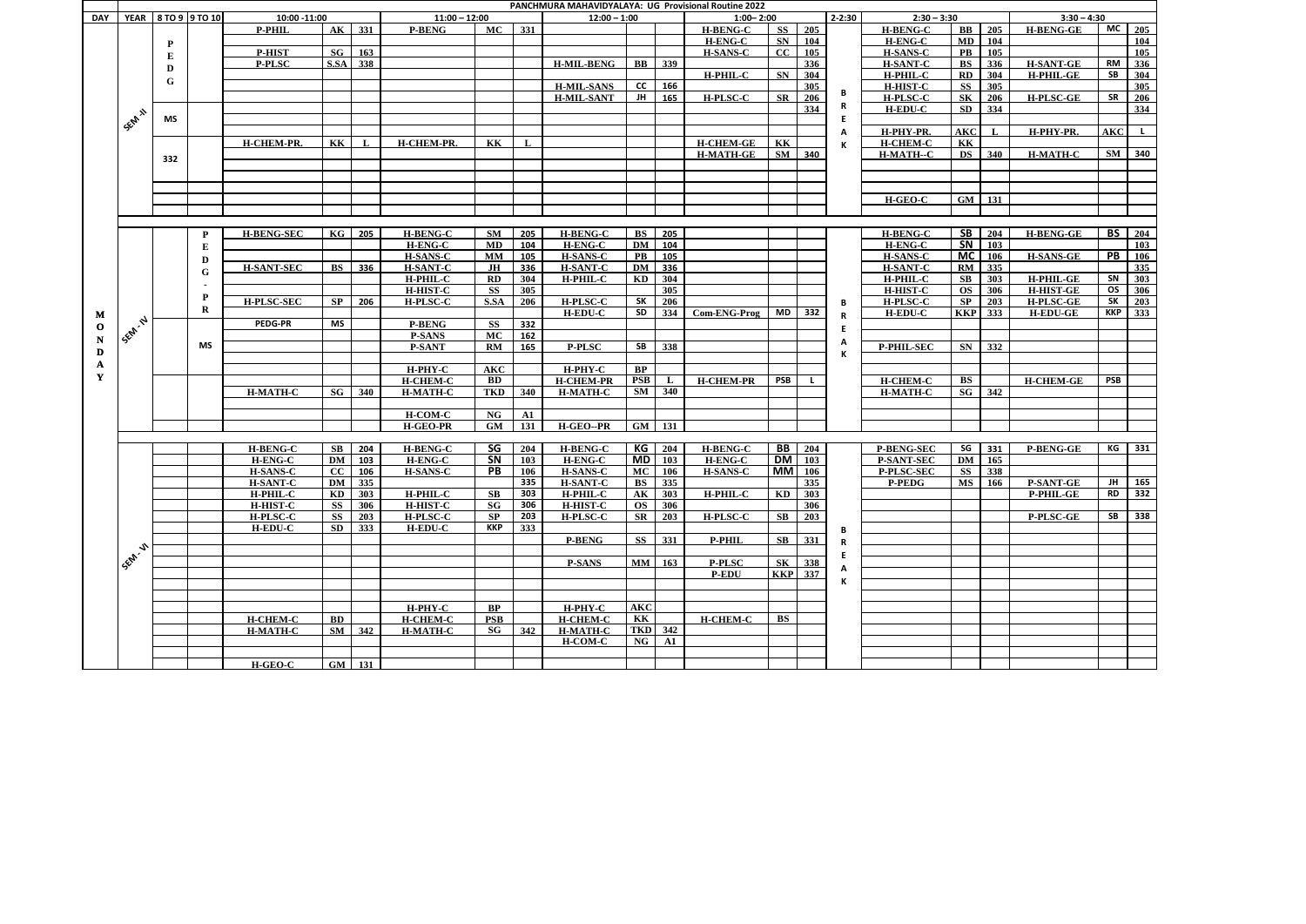|              |                   |     |                     |                   |           |          |                 |                        |                  | PANCHMURA MAHAVIDYALAYA: UG Provisional Routine 2022 |               |                |                  |                        |                 |            |                   |            |                |                  |            |                       |
|--------------|-------------------|-----|---------------------|-------------------|-----------|----------|-----------------|------------------------|------------------|------------------------------------------------------|---------------|----------------|------------------|------------------------|-----------------|------------|-------------------|------------|----------------|------------------|------------|-----------------------|
| <b>DAY</b>   |                   |     | YEAR 8 TO 9 9 TO 10 | 10:00 -11:00      |           |          | $11:00 - 12:00$ |                        |                  | $12:00 - 1:00$                                       |               |                | $1:00 - 2:00$    |                        |                 | $2 - 2:30$ | $2:30 - 3:30$     |            |                | $3:30 - 4:30$    |            |                       |
|              |                   |     |                     | <b>P-PHIL</b>     |           | AK 331   | <b>P-BENG</b>   | <b>MC</b>              | $331$            |                                                      |               |                | <b>H-BENG-C</b>  | <b>SS</b>              | $\frac{1}{205}$ |            | <b>H-BENG-C</b>   | $\bf BB$   | $\vert$ 205    | <b>H-BENG-GE</b> |            | $MC$ 205              |
|              |                   | P   |                     |                   |           |          |                 |                        |                  |                                                      |               |                | <b>H-ENG-C</b>   | <b>SN</b>              | 104             |            | <b>H-ENG-C</b>    | MD         | 104            |                  |            | 104                   |
|              |                   |     |                     | <b>P-HIST</b>     | SG        | 163      |                 |                        |                  |                                                      |               |                | <b>H-SANS-C</b>  | $CC$ 105               |                 |            | <b>H-SANS-C</b>   | PB         | 105            |                  |            | 105                   |
|              |                   | E   |                     | <b>P-PLSC</b>     | S.SA      | 338      |                 |                        |                  | <b>H-MIL-BENG</b>                                    |               | <b>BB</b> 339  |                  |                        | 336             |            | <b>H-SANT-C</b>   | <b>BS</b>  | 336            | <b>H-SANT-GE</b> | <b>RM</b>  | 336                   |
|              |                   | D   |                     |                   |           |          |                 |                        |                  |                                                      |               |                | <b>H-PHIL-C</b>  | SN                     | $\vert$ 304     |            | H-PHIL-C          | RD         | 304            | <b>H-PHIL-GE</b> | SB         | 304                   |
|              |                   | G   |                     |                   |           |          |                 |                        |                  | <b>H-MIL-SANS</b>                                    | CC            |                |                  |                        | 305             |            |                   | SS         | 305            |                  |            | 305                   |
|              |                   |     |                     |                   |           |          |                 |                        |                  |                                                      |               | 166            |                  |                        |                 | В          | <b>H-HIST-C</b>   |            |                |                  |            |                       |
|              |                   |     |                     |                   |           |          |                 |                        |                  | <b>H-MIL-SANT</b>                                    | $\mathbf{H}$  | 165            | <b>H-PLSC-C</b>  | $\mathbf{S}\mathbf{R}$ | 206             |            | <b>H-PLSC-C</b>   | <b>SK</b>  | 206            | <b>H-PLSC-GE</b> | <b>SR</b>  | 206                   |
|              | SEM 11            |     |                     |                   |           |          |                 |                        |                  |                                                      |               |                |                  |                        | 334             | R          | <b>H-EDU-C</b>    | <b>SD</b>  | 334            |                  |            | 334                   |
|              |                   | MS  |                     |                   |           |          |                 |                        |                  |                                                      |               |                |                  |                        |                 |            |                   |            |                |                  |            |                       |
|              |                   |     |                     |                   |           |          |                 |                        |                  |                                                      |               |                |                  |                        |                 | А          | H-PHY-PR.         | <b>AKC</b> | $\mathbf{L}$   | H-PHY-PR.        | <b>AKC</b> |                       |
|              |                   |     |                     | H-CHEM-PR.        | <b>KK</b> |          | H-CHEM-PR.      | <b>KK</b>              | L                |                                                      |               |                | <b>H-CHEM-GE</b> | <b>KK</b>              |                 | К          | <b>H-CHEM-C</b>   | <b>KK</b>  |                |                  |            |                       |
|              |                   | 332 |                     |                   |           |          |                 |                        |                  |                                                      |               |                | <b>H-MATH-GE</b> | SM 340                 |                 |            | H-MATH--C         | DS         | 340            | <b>H-MATH-C</b>  |            | SM 340                |
|              |                   |     |                     |                   |           |          |                 |                        |                  |                                                      |               |                |                  |                        |                 |            |                   |            |                |                  |            |                       |
|              |                   |     |                     |                   |           |          |                 |                        |                  |                                                      |               |                |                  |                        |                 |            |                   |            |                |                  |            |                       |
|              |                   |     |                     |                   |           |          |                 |                        |                  |                                                      |               |                |                  |                        |                 |            |                   |            |                |                  |            |                       |
|              |                   |     |                     |                   |           |          |                 |                        |                  |                                                      |               |                |                  |                        |                 |            | <b>H-GEO-C</b>    |            | GM 131         |                  |            |                       |
|              |                   |     |                     |                   |           |          |                 |                        |                  |                                                      |               |                |                  |                        |                 |            |                   |            |                |                  |            |                       |
|              |                   |     |                     |                   |           |          |                 |                        |                  |                                                      |               |                |                  |                        |                 |            |                   |            |                |                  |            |                       |
|              |                   |     |                     |                   | KG        |          |                 | <b>SM</b>              |                  | <b>H-BENG-C</b>                                      | BS            |                |                  |                        |                 |            |                   | <b>SB</b>  | 204            |                  |            | $\overline{BS}$   204 |
|              |                   |     | P                   | <b>H-BENG-SEC</b> |           | 205      | <b>H-BENG-C</b> |                        | 205              |                                                      |               | 205            |                  |                        |                 |            | <b>H-BENG-C</b>   |            |                | <b>H-BENG-GE</b> |            |                       |
|              |                   |     | ${\bf E}$           |                   |           |          | <b>H-ENG-C</b>  | MD                     | 104              | <b>H-ENG-C</b>                                       |               | DM 104         |                  |                        |                 |            | <b>H-ENG-C</b>    | SN         | $\sqrt{103}$   |                  |            | 103                   |
|              |                   |     | D                   |                   |           |          | <b>H-SANS-C</b> | <b>MM</b>              | 105              | <b>H-SANS-C</b>                                      | $\mathbf{PB}$ | 105            |                  |                        |                 |            | <b>H-SANS-C</b>   | <b>MC</b>  | 106            | <b>H-SANS-GE</b> | PB         | 106                   |
|              |                   |     | G                   | <b>H-SANT-SEC</b> | BS        | 336      | <b>H-SANT-C</b> | JH                     | 336              | <b>H-SANT-C</b>                                      | DM            | 336            |                  |                        |                 |            | H-SANT-C          | RM         | 335            |                  |            | 335                   |
|              |                   |     |                     |                   |           |          | H-PHIL-C        | RD                     | 304              | H-PHIL-C                                             | KD            | 304            |                  |                        |                 |            | H-PHIL-C          | SB         | 303            | <b>H-PHIL-GE</b> | SN         | 303                   |
|              |                   |     |                     |                   |           |          | H-HIST-C        | <b>SS</b>              | 305              |                                                      |               | 305            |                  |                        |                 |            | <b>H-HIST-C</b>   | <b>OS</b>  | 306            | <b>H-HIST-GE</b> | OS         | $306$                 |
|              |                   |     | P                   | <b>H-PLSC-SEC</b> | <b>SP</b> | 206      | <b>H-PLSC-C</b> | S.SA                   | 206              | <b>H-PLSC-C</b>                                      | SK            | 206            |                  |                        |                 | В          | <b>H-PLSC-C</b>   | SP         | 203            | H-PLSC-GE        | <b>SK</b>  | 203                   |
| M            |                   |     | $\bf R$             |                   |           |          |                 |                        |                  | <b>H-EDU-C</b>                                       |               | $SD$ 334       | Com-ENG-Prog     | MD 332                 |                 | R          | <b>H-EDU-C</b>    |            | <b>KKP</b> 333 | <b>H-EDU-GE</b>  |            | $KKP$ 333             |
| $\mathbf{o}$ | <b>155M.N.</b>    |     |                     | <b>PEDG-PR</b>    | MS        |          | <b>P-BENG</b>   | <b>SS</b>              | 332              |                                                      |               |                |                  |                        |                 |            |                   |            |                |                  |            |                       |
|              |                   |     |                     |                   |           |          | <b>P-SANS</b>   | MC                     | 162              |                                                      |               |                |                  |                        |                 | E          |                   |            |                |                  |            |                       |
| $\mathbf N$  |                   |     | MS                  |                   |           |          | <b>P-SANT</b>   | RM                     | 165              | <b>P-PLSC</b>                                        | SB I          | 338            |                  |                        |                 | A          | <b>P-PHIL-SEC</b> | SN         | 332            |                  |            |                       |
| D            |                   |     |                     |                   |           |          |                 |                        |                  |                                                      |               |                |                  |                        |                 | к          |                   |            |                |                  |            |                       |
| $\mathbf{A}$ |                   |     |                     |                   |           |          | Н-РНҮ-С         | <b>AKC</b>             |                  | H-PHY-C                                              | BP            |                |                  |                        |                 |            |                   |            |                |                  |            |                       |
| Y            |                   |     |                     |                   |           |          |                 |                        |                  |                                                      |               |                |                  | PSB                    |                 |            |                   |            |                |                  | <b>PSB</b> |                       |
|              |                   |     |                     |                   |           |          | H-CHEM-C        | <b>BD</b>              |                  | <b>H-CHEM-PR</b>                                     | <b>PSB</b> L  |                | <b>H-CHEM-PR</b> |                        |                 |            | <b>H-CHEM-C</b>   | <b>BS</b>  |                | <b>H-CHEM-GE</b> |            |                       |
|              |                   |     |                     | <b>H-MATH-C</b>   | SG        | 340      | <b>H-MATH-C</b> | <b>TKD</b>             | 340              | <b>H-MATH-C</b>                                      |               | $SM$ 340       |                  |                        |                 |            | <b>H-MATH-C</b>   |            | SG 342         |                  |            |                       |
|              |                   |     |                     |                   |           |          |                 |                        |                  |                                                      |               |                |                  |                        |                 |            |                   |            |                |                  |            |                       |
|              |                   |     |                     |                   |           |          | H-COM-C         | <b>NG</b>              | ${\bf A1}$       |                                                      |               |                |                  |                        |                 |            |                   |            |                |                  |            |                       |
|              |                   |     |                     |                   |           |          | <b>H-GEO-PR</b> | GM                     | 131              | <b>H-GEO--PR</b>                                     | GM 131        |                |                  |                        |                 |            |                   |            |                |                  |            |                       |
|              |                   |     |                     |                   |           |          |                 |                        |                  |                                                      |               |                |                  |                        |                 |            |                   |            |                |                  |            |                       |
|              |                   |     |                     | <b>H-BENG-C</b>   | SB        | 204      | <b>H-BENG-C</b> | SG                     | 204              | <b>H-BENG-C</b>                                      |               | $KG$ 204       | <b>H-BENG-C</b>  |                        | <b>BB</b> 204   |            | <b>P-BENG-SEC</b> | SG         | 331            | <b>P-BENG-GE</b> | KG         | 331                   |
|              |                   |     |                     | <b>H-ENG-C</b>    | DM        | 103      | <b>H-ENG-C</b>  | $\overline{\text{SN}}$ | 103              | <b>H-ENG-C</b>                                       |               | $MD$ 103       | <b>H-ENG-C</b>   | $DM \mid 103$          |                 |            | <b>P-SANT-SEC</b> | <b>DM</b>  | 165            |                  |            |                       |
|              |                   |     |                     | <b>H-SANS-C</b>   | cc        | 106      | <b>H-SANS-C</b> | <b>PB</b>              | 106              | <b>H-SANS-C</b>                                      | MC            | 106            | <b>H-SANS-C</b>  | $MM$ 106               |                 |            | P-PLSC-SEC        | <b>SS</b>  | 338            |                  |            |                       |
|              |                   |     |                     | <b>H-SANT-C</b>   | DM        | 335      |                 |                        | 335              | <b>H-SANT-C</b>                                      | BS            | 335            |                  |                        | 335             |            | <b>P-PEDG</b>     | <b>MS</b>  | 166            | <b>P-SANT-GE</b> |            | $JH$ 165              |
|              |                   |     |                     | H-PHIL-C          |           | KD 303   | H-PHIL-C        | SB                     | 303              | H-PHIL-C                                             |               | AK 303         | <b>H-PHIL-C</b>  | KD 303                 |                 |            |                   |            |                | P-PHIL-GE        |            | RD 332                |
|              |                   |     |                     | <b>H-HIST-C</b>   | SS        | 306      | <b>H-HIST-C</b> | SG                     | 306              | <b>H-HIST-C</b>                                      |               | OS 306         |                  |                        | 306             |            |                   |            |                |                  |            |                       |
|              |                   |     |                     | H-PLSC-C          | SS        | 203      | H-PLSC-C        | SP                     | 203              | <b>H-PLSC-C</b>                                      |               | SR 203         | <b>H-PLSC-C</b>  | SB                     | 203             |            |                   |            |                | <b>P-PLSC-GE</b> | SB         | 338                   |
|              |                   |     |                     | H-EDU-C           | SD        | 333      | H-EDU-C         | <b>KKP</b>             | $\overline{333}$ |                                                      |               |                |                  |                        |                 | В          |                   |            |                |                  |            |                       |
|              |                   |     |                     |                   |           |          |                 |                        |                  | <b>P-BENG</b>                                        |               | SS 331         | P-PHIL           | SB                     | $331$           |            |                   |            |                |                  |            |                       |
|              |                   |     |                     |                   |           |          |                 |                        |                  |                                                      |               |                |                  |                        |                 | R          |                   |            |                |                  |            |                       |
|              | <b>1 SEP 11 1</b> |     |                     |                   |           |          |                 |                        |                  |                                                      |               |                |                  |                        |                 | E          |                   |            |                |                  |            |                       |
|              |                   |     |                     |                   |           |          |                 |                        |                  | <b>P-SANS</b>                                        | <b>MM</b>     | 163            | <b>P-PLSC</b>    | <b>SK</b>              | 338             |            |                   |            |                |                  |            |                       |
|              |                   |     |                     |                   |           |          |                 |                        |                  |                                                      |               |                | <b>P-EDU</b>     | <b>KKP</b> 337         |                 | К          |                   |            |                |                  |            |                       |
|              |                   |     |                     |                   |           |          |                 |                        |                  |                                                      |               |                |                  |                        |                 |            |                   |            |                |                  |            |                       |
|              |                   |     |                     |                   |           |          |                 |                        |                  |                                                      |               |                |                  |                        |                 |            |                   |            |                |                  |            |                       |
|              |                   |     |                     |                   |           |          | Н-РНҮ-С         | BP                     |                  | $H-PHY-C$                                            | <b>AKC</b>    |                |                  |                        |                 |            |                   |            |                |                  |            |                       |
|              |                   |     |                     | <b>H-CHEM-C</b>   | BD        |          | <b>H-CHEM-C</b> | <b>PSB</b>             |                  | <b>H-CHEM-C</b>                                      | KK            |                | <b>H-CHEM-C</b>  | $\overline{\text{BS}}$ |                 |            |                   |            |                |                  |            |                       |
|              |                   |     |                     | <b>H-MATH-C</b>   |           | $SM$ 342 | <b>H-MATH-C</b> | SG                     | 342              | <b>H-MATH-C</b>                                      |               | <b>TKD</b> 342 |                  |                        |                 |            |                   |            |                |                  |            |                       |
|              |                   |     |                     |                   |           |          |                 |                        |                  | <b>H-COM-C</b>                                       |               | $NG$ $AI$      |                  |                        |                 |            |                   |            |                |                  |            |                       |
|              |                   |     |                     |                   |           |          |                 |                        |                  |                                                      |               |                |                  |                        |                 |            |                   |            |                |                  |            |                       |
|              |                   |     |                     | H-GEO-C           |           | GM 131   |                 |                        |                  |                                                      |               |                |                  |                        |                 |            |                   |            |                |                  |            |                       |
|              |                   |     |                     |                   |           |          |                 |                        |                  |                                                      |               |                |                  |                        |                 |            |                   |            |                |                  |            |                       |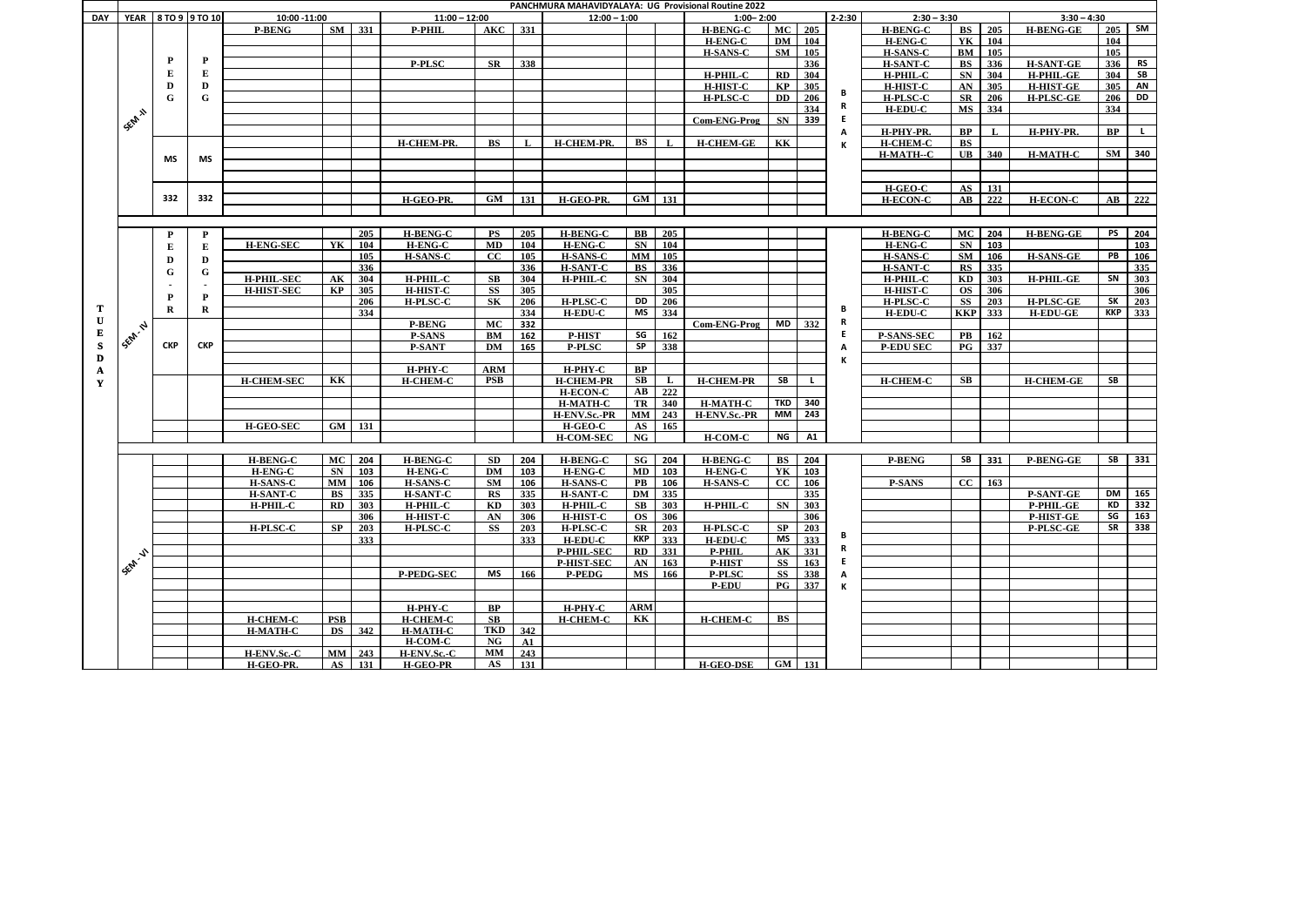| PANCHMURA MAHAVIDYALAYA: UG Provisional Routine 2022<br>YEAR 8 TO 9 9 TO 10<br>$2 - 2:30$<br>$3:30 - 4:30$<br>10:00 -11:00<br>$11:00 - 12:00$<br>$12:00 - 1:00$<br>$1:00 - 2:00$<br>$2:30 - 3:30$<br><b>DAY</b><br>331<br>$AKC$ 331<br>MC 205<br>205<br>SM<br><b>H-BENG-C</b><br><b>H-BENG-C</b><br><b>BS</b><br><b>H-BENG-GE</b><br><b>P-BENG</b><br><b>P-PHIL</b> |                |            |              |                   |                |        |                   |             |              |                   |            |                          |                               |                                               |           |    |                   |                                   |             |                  |                  |                                                  |
|---------------------------------------------------------------------------------------------------------------------------------------------------------------------------------------------------------------------------------------------------------------------------------------------------------------------------------------------------------------------|----------------|------------|--------------|-------------------|----------------|--------|-------------------|-------------|--------------|-------------------|------------|--------------------------|-------------------------------|-----------------------------------------------|-----------|----|-------------------|-----------------------------------|-------------|------------------|------------------|--------------------------------------------------|
|                                                                                                                                                                                                                                                                                                                                                                     |                |            |              |                   |                |        |                   |             |              |                   |            |                          |                               |                                               |           |    |                   |                                   |             |                  |                  |                                                  |
|                                                                                                                                                                                                                                                                                                                                                                     |                |            |              |                   |                |        |                   |             |              |                   |            |                          |                               |                                               |           |    |                   |                                   |             |                  |                  | $205$ SM                                         |
|                                                                                                                                                                                                                                                                                                                                                                     |                |            |              |                   |                |        |                   |             |              |                   |            |                          | <b>H-ENG-C</b>                | <b>DM</b>                                     | 104       |    | <b>H-ENG-C</b>    | YK                                | 104         |                  | 104              |                                                  |
|                                                                                                                                                                                                                                                                                                                                                                     |                |            |              |                   |                |        |                   |             |              |                   |            |                          | <b>H-SANS-C</b>               | $SM$ 105                                      |           |    | <b>H-SANS-C</b>   | BM                                | 105         |                  | $\overline{105}$ |                                                  |
|                                                                                                                                                                                                                                                                                                                                                                     |                | P          | $\mathbf{P}$ |                   |                |        | <b>P-PLSC</b>     | <b>SR</b>   | 338          |                   |            |                          |                               |                                               | 336       |    | <b>H-SANT-C</b>   | <b>BS</b>                         | 336         | <b>H-SANT-GE</b> | 336              | <b>RS</b>                                        |
|                                                                                                                                                                                                                                                                                                                                                                     |                |            | Е            |                   |                |        |                   |             |              |                   |            |                          | H-PHIL-C                      | $\mathbf{R}$                                  | 304       |    | H-PHIL-C          | SN                                | 304         | H-PHIL-GE        |                  | $304$ SB                                         |
|                                                                                                                                                                                                                                                                                                                                                                     |                | D          | D            |                   |                |        |                   |             |              |                   |            |                          | <b>H-HIST-C</b>               | $\mathbf{K}\mathbf{P}$                        | 305       |    | <b>H-HIST-C</b>   | AN                                | 305         | <b>H-HIST-GE</b> | 305              | AN                                               |
|                                                                                                                                                                                                                                                                                                                                                                     |                | G          | $\mathbf G$  |                   |                |        |                   |             |              |                   |            |                          | <b>H-PLSC-C</b>               | <b>DD</b>                                     | 206       | В  | <b>H-PLSC-C</b>   | <b>SR</b>                         | 206         | <b>H-PLSC-GE</b> | 206              | <b>DD</b>                                        |
|                                                                                                                                                                                                                                                                                                                                                                     |                |            |              |                   |                |        |                   |             |              |                   |            |                          |                               |                                               | 334       | R  | <b>H-EDU-C</b>    | <b>MS</b>                         | 334         |                  | 334              |                                                  |
|                                                                                                                                                                                                                                                                                                                                                                     | SEAR A         |            |              |                   |                |        |                   |             |              |                   |            |                          | Com-ENG-Prog                  | SN                                            | 339       | E. |                   |                                   |             |                  |                  |                                                  |
|                                                                                                                                                                                                                                                                                                                                                                     |                |            |              |                   |                |        |                   |             |              |                   |            |                          |                               |                                               |           | А  | H-PHY-PR.         | BP                                | $\mathbf I$ | H-PHY-PR.        | <b>BP</b>        |                                                  |
|                                                                                                                                                                                                                                                                                                                                                                     |                |            |              |                   |                |        | H-CHEM-PR.        | <b>BS</b>   | $\mathbf{L}$ | H-CHEM-PR.        | BS         |                          | <b>H-CHEM-GE</b>              | KK                                            |           |    | <b>H-CHEM-C</b>   | BS                                |             |                  |                  |                                                  |
|                                                                                                                                                                                                                                                                                                                                                                     |                |            |              |                   |                |        |                   |             |              |                   |            |                          |                               |                                               |           |    | H-MATH--C         | $\mathbf{UB}$                     | 340         | <b>H-MATH-C</b>  |                  | SM 340                                           |
|                                                                                                                                                                                                                                                                                                                                                                     |                | MS         | MS           |                   |                |        |                   |             |              |                   |            |                          |                               |                                               |           |    |                   |                                   |             |                  |                  |                                                  |
|                                                                                                                                                                                                                                                                                                                                                                     |                |            |              |                   |                |        |                   |             |              |                   |            |                          |                               |                                               |           |    |                   |                                   |             |                  |                  |                                                  |
|                                                                                                                                                                                                                                                                                                                                                                     |                |            |              |                   |                |        |                   |             |              |                   |            |                          |                               |                                               |           |    | H-GEO-C           | AS                                | 131         |                  |                  |                                                  |
|                                                                                                                                                                                                                                                                                                                                                                     |                | 332        | 332          |                   |                |        | H-GEO-PR.         | GM          | 131          | H-GEO-PR.         |            | $\overline{GM}$ 131      |                               |                                               |           |    | <b>H-ECON-C</b>   | $\mathbf{A}\mathbf{B}$            | 222         | <b>H-ECON-C</b>  |                  | $AB$ 222                                         |
|                                                                                                                                                                                                                                                                                                                                                                     |                |            |              |                   |                |        |                   |             |              |                   |            |                          |                               |                                               |           |    |                   |                                   |             |                  |                  |                                                  |
|                                                                                                                                                                                                                                                                                                                                                                     |                |            |              |                   |                |        |                   |             |              |                   |            |                          |                               |                                               |           |    |                   |                                   |             |                  |                  |                                                  |
|                                                                                                                                                                                                                                                                                                                                                                     |                | P          | $\mathbf{P}$ |                   |                | 205    | <b>H-BENG-C</b>   | <b>PS</b>   | 205          | <b>H-BENG-C</b>   |            | <b>BB</b> 205            |                               |                                               |           |    | <b>H-BENG-C</b>   | MC                                | 204         | <b>H-BENG-GE</b> | <b>PS</b>        | 204                                              |
|                                                                                                                                                                                                                                                                                                                                                                     |                | Е          | ${\bf E}$    | <b>H-ENG-SEC</b>  | YK             | 104    | <b>H-ENG-C</b>    | <b>MD</b>   | 104          | <b>H-ENG-C</b>    |            | $SN$ 104                 |                               |                                               |           |    | <b>H-ENG-C</b>    | <b>SN</b>                         | 103         |                  |                  | 103                                              |
|                                                                                                                                                                                                                                                                                                                                                                     |                | D          | D            |                   |                | 105    | <b>H-SANS-C</b>   | $_{\rm CC}$ | 105          | <b>H-SANS-C</b>   | <b>MM</b>  | 105                      |                               |                                               |           |    | <b>H-SANS-C</b>   | <b>SM</b>                         | 106         | <b>H-SANS-GE</b> | PB               | 106                                              |
|                                                                                                                                                                                                                                                                                                                                                                     |                |            |              |                   |                | 336    |                   |             | 336          | <b>H-SANT-C</b>   | BS         | 336                      |                               |                                               |           |    | H-SANT-C          | RS                                | 335         |                  |                  | 335                                              |
|                                                                                                                                                                                                                                                                                                                                                                     |                | G          | G            | <b>H-PHIL-SEC</b> | A <sub>K</sub> | 304    | H-PHIL-C          | <b>SB</b>   | 304          | H-PHIL-C          | SN         | 304                      |                               |                                               |           |    | H-PHIL-C          | KD                                | 303         | <b>H-PHIL-GE</b> | SN               | 303                                              |
|                                                                                                                                                                                                                                                                                                                                                                     |                |            |              | <b>H-HIST-SEC</b> | KP             | 305    | <b>H-HIST-C</b>   | <b>SS</b>   | 305          |                   |            | 305                      |                               |                                               |           |    | <b>H-HIST-C</b>   | <b>OS</b>                         | 306         |                  |                  | 306                                              |
|                                                                                                                                                                                                                                                                                                                                                                     |                | P          | P            |                   |                | 206    | <b>H-PLSC-C</b>   | <b>SK</b>   | 206          | <b>H-PLSC-C</b>   | DD         | 206                      |                               |                                               |           |    | <b>H-PLSC-C</b>   | <b>SS</b>                         | 203         | <b>H-PLSC-GE</b> | <b>SK</b>        | 203                                              |
| T                                                                                                                                                                                                                                                                                                                                                                   |                | R          | R            |                   |                | 334    |                   |             | 334          | <b>H-EDU-C</b>    |            | MS 334                   |                               |                                               |           | в  | $H-EDU-C$         | <b>KKP</b> 333                    |             | <b>H-EDU-GE</b>  |                  | $KKP$ 333                                        |
| $\mathbf U$                                                                                                                                                                                                                                                                                                                                                         |                |            |              |                   |                |        | <b>P-BENG</b>     | MC          | 332          |                   |            |                          | Com-ENG-Prog                  | MD                                            | 332       | R  |                   |                                   |             |                  |                  |                                                  |
| E                                                                                                                                                                                                                                                                                                                                                                   | 1 Sept. 12 1   |            |              |                   |                |        | <b>P-SANS</b>     | BM          | 162          | <b>P-HIST</b>     |            | $SG$ 162                 |                               |                                               |           | E. | <b>P-SANS-SEC</b> | $\mathbf{PB}$                     | 162         |                  |                  |                                                  |
| S                                                                                                                                                                                                                                                                                                                                                                   |                | <b>CKP</b> | <b>CKP</b>   |                   |                |        | <b>P-SANT</b>     | <b>DM</b>   | 165          | <b>P-PLSC</b>     | <b>SP</b>  | 338                      |                               |                                               |           | А  | <b>P-EDU SEC</b>  | $\overline{\mathbf{P}\mathbf{G}}$ | 337         |                  |                  |                                                  |
| $\mathbf D$                                                                                                                                                                                                                                                                                                                                                         |                |            |              |                   |                |        |                   |             |              |                   |            |                          |                               |                                               |           |    | к                 |                                   |             |                  |                  |                                                  |
| $\mathbf{A}$                                                                                                                                                                                                                                                                                                                                                        |                |            |              |                   |                |        | $H-PHY-C$         | <b>ARM</b>  |              | H-PHY-C           | BP         |                          |                               |                                               |           |    |                   |                                   |             |                  |                  |                                                  |
| Y                                                                                                                                                                                                                                                                                                                                                                   |                |            |              | <b>H-CHEM-SEC</b> | KK             |        | <b>H-CHEM-C</b>   | <b>PSB</b>  |              | <b>H-CHEM-PR</b>  |            | $\overline{\text{SB}}$ L | <b>H-CHEM-PR</b>              | SB                                            | L.        |    | <b>H-CHEM-C</b>   | $\mathbf{S}\mathbf{B}$            |             | <b>H-CHEM-GE</b> | <b>SB</b>        |                                                  |
|                                                                                                                                                                                                                                                                                                                                                                     |                |            |              |                   |                |        |                   |             |              | <b>H-ECON-C</b>   |            | $AB$ 222                 |                               |                                               |           |    |                   |                                   |             |                  |                  |                                                  |
|                                                                                                                                                                                                                                                                                                                                                                     |                |            |              |                   |                |        |                   |             |              | <b>H-MATH-C</b>   |            | TR 340                   | <b>H-MATH-C</b>               | TKD 340                                       |           |    |                   |                                   |             |                  |                  |                                                  |
|                                                                                                                                                                                                                                                                                                                                                                     |                |            |              |                   |                |        |                   |             |              | H-ENV.Sc.-PR      |            | <b>MM</b> 243            | H-ENV.Sc.-PR                  | MM 243                                        |           |    |                   |                                   |             |                  |                  |                                                  |
|                                                                                                                                                                                                                                                                                                                                                                     |                |            |              | H-GEO-SEC         | GM             | 131    |                   |             |              | H-GEO-C           |            | $AS$ 165                 |                               |                                               |           |    |                   |                                   |             |                  |                  |                                                  |
|                                                                                                                                                                                                                                                                                                                                                                     |                |            |              |                   |                |        |                   |             |              | H-COM-SEC         | NG         |                          | H-COM-C                       | NG                                            | <b>A1</b> |    |                   |                                   |             |                  |                  |                                                  |
|                                                                                                                                                                                                                                                                                                                                                                     |                |            |              |                   |                |        |                   |             |              |                   |            |                          |                               |                                               |           |    |                   |                                   |             |                  |                  |                                                  |
|                                                                                                                                                                                                                                                                                                                                                                     |                |            |              | <b>H-BENG-C</b>   | MC             | 204    | <b>H-BENG-C</b>   | <b>SD</b>   | 204          | <b>H-BENG-C</b>   |            | $SG$ 204                 | <b>H-BENG-C</b>               | $\overline{BS}$   204                         |           |    | <b>P-BENG</b>     | <b>SB</b>                         | 331         | <b>P-BENG-GE</b> |                  | $SB$ 331                                         |
|                                                                                                                                                                                                                                                                                                                                                                     |                |            |              | <b>H-ENG-C</b>    | <b>SN</b>      | 103    | <b>H-ENG-C</b>    | DM          | 103          | H-ENG-C           |            | MD 103                   | <b>H-ENG-C</b>                | YK                                            | 103       |    |                   |                                   |             |                  |                  |                                                  |
|                                                                                                                                                                                                                                                                                                                                                                     |                |            |              | <b>H-SANS-C</b>   | MM             | 106    | <b>H-SANS-C</b>   | <b>SM</b>   | 106          | <b>H-SANS-C</b>   | PB         | 106                      | <b>H-SANS-C</b>               | CC                                            | 106       |    | <b>P-SANS</b>     | CC                                | 163         |                  |                  |                                                  |
|                                                                                                                                                                                                                                                                                                                                                                     |                |            |              | <b>H-SANT-C</b>   | <b>BS</b>      | 335    | <b>H-SANT-C</b>   | RS          | 335          | <b>H-SANT-C</b>   |            | DM 335                   |                               |                                               | 335       |    |                   |                                   |             | <b>P-SANT-GE</b> |                  | DM 165                                           |
|                                                                                                                                                                                                                                                                                                                                                                     |                |            |              | H-PHIL-C          | RD             | 303    | H-PHIL-C          | KD          | 303          | H-PHIL-C          | SB         | 303                      | <b>H-PHIL-C</b>               | $SN$ 303                                      |           |    |                   |                                   |             | P-PHIL-GE        | KD<br>SG         | $\begin{array}{ c c }\n\hline\n332\n\end{array}$ |
|                                                                                                                                                                                                                                                                                                                                                                     |                |            |              |                   |                | 306    | <b>H-HIST-C</b>   | AN          | 306          | H-HIST-C          |            | OS 306                   |                               |                                               | 306       |    |                   |                                   |             | P-HIST-GE        |                  | 163                                              |
|                                                                                                                                                                                                                                                                                                                                                                     |                |            |              | H-PLSC-C          | SP             | 203    | H-PLSC-C          | SS          | 203          | H-PLSC-C          | SR         | 203                      | <b>H-PLSC-C</b>               | $\overline{\text{SP}}$ 203<br>$\overline{MS}$ |           | В  |                   |                                   |             | P-PLSC-GE        |                  | $SR$ 338                                         |
|                                                                                                                                                                                                                                                                                                                                                                     |                |            |              |                   |                | 333    |                   |             | 333          | <b>H-EDU-C</b>    |            | $KKP$ 333                | <b>H-EDU-C</b>                | AK 331                                        | 333       | R  |                   |                                   |             |                  |                  |                                                  |
|                                                                                                                                                                                                                                                                                                                                                                     |                |            |              |                   |                |        |                   |             |              | <b>P-PHIL-SEC</b> |            | RD 331                   | <b>P-PHIL</b>                 | <b>SS</b>                                     |           | E. |                   |                                   |             |                  |                  |                                                  |
|                                                                                                                                                                                                                                                                                                                                                                     | <b>155M-V1</b> |            |              |                   |                |        |                   |             |              | P-HIST-SEC        |            | AN 163<br>MS 166         | <b>P-HIST</b>                 | <b>SS</b>                                     | 163       |    |                   |                                   |             |                  |                  |                                                  |
|                                                                                                                                                                                                                                                                                                                                                                     |                |            |              |                   |                |        | <b>P-PEDG-SEC</b> | <b>MS</b>   | 166          | P-PEDG            |            |                          | <b>P-PLSC</b><br><b>P-EDU</b> | <b>PG</b> 337                                 | 338       | A  |                   |                                   |             |                  |                  |                                                  |
|                                                                                                                                                                                                                                                                                                                                                                     |                |            |              |                   |                |        |                   |             |              |                   |            |                          |                               |                                               |           |    |                   |                                   |             |                  |                  |                                                  |
|                                                                                                                                                                                                                                                                                                                                                                     |                |            |              |                   |                |        | $H-PHY-C$         | <b>BP</b>   |              | $H-PHY-C$         | <b>ARM</b> |                          |                               |                                               |           |    |                   |                                   |             |                  |                  |                                                  |
|                                                                                                                                                                                                                                                                                                                                                                     |                |            |              | <b>H-CHEM-C</b>   | <b>PSB</b>     |        | <b>H-CHEM-C</b>   | SB          |              | <b>H-CHEM-C</b>   | KK         |                          | <b>H-CHEM-C</b>               | <b>BS</b>                                     |           |    |                   |                                   |             |                  |                  |                                                  |
|                                                                                                                                                                                                                                                                                                                                                                     |                |            |              | <b>H-MATH-C</b>   | <b>DS</b>      | 342    | <b>H-MATH-C</b>   | TKD         | 342          |                   |            |                          |                               |                                               |           |    |                   |                                   |             |                  |                  |                                                  |
|                                                                                                                                                                                                                                                                                                                                                                     |                |            |              |                   |                |        | <b>H-COM-C</b>    | NG          | A1           |                   |            |                          |                               |                                               |           |    |                   |                                   |             |                  |                  |                                                  |
|                                                                                                                                                                                                                                                                                                                                                                     |                |            |              | H-ENV.Sc .- C     | MM             | 243    | H-ENV.Sc .- C     | <b>MM</b>   | 243          |                   |            |                          |                               |                                               |           |    |                   |                                   |             |                  |                  |                                                  |
|                                                                                                                                                                                                                                                                                                                                                                     |                |            |              | H-GEO-PR.         |                | AS 131 | H-GEO-PR          | AS          | 131          |                   |            |                          | <b>H-GEO-DSE</b>              | $\overline{GM}$ 131                           |           |    |                   |                                   |             |                  |                  |                                                  |
|                                                                                                                                                                                                                                                                                                                                                                     |                |            |              |                   |                |        |                   |             |              |                   |            |                          |                               |                                               |           |    |                   |                                   |             |                  |                  |                                                  |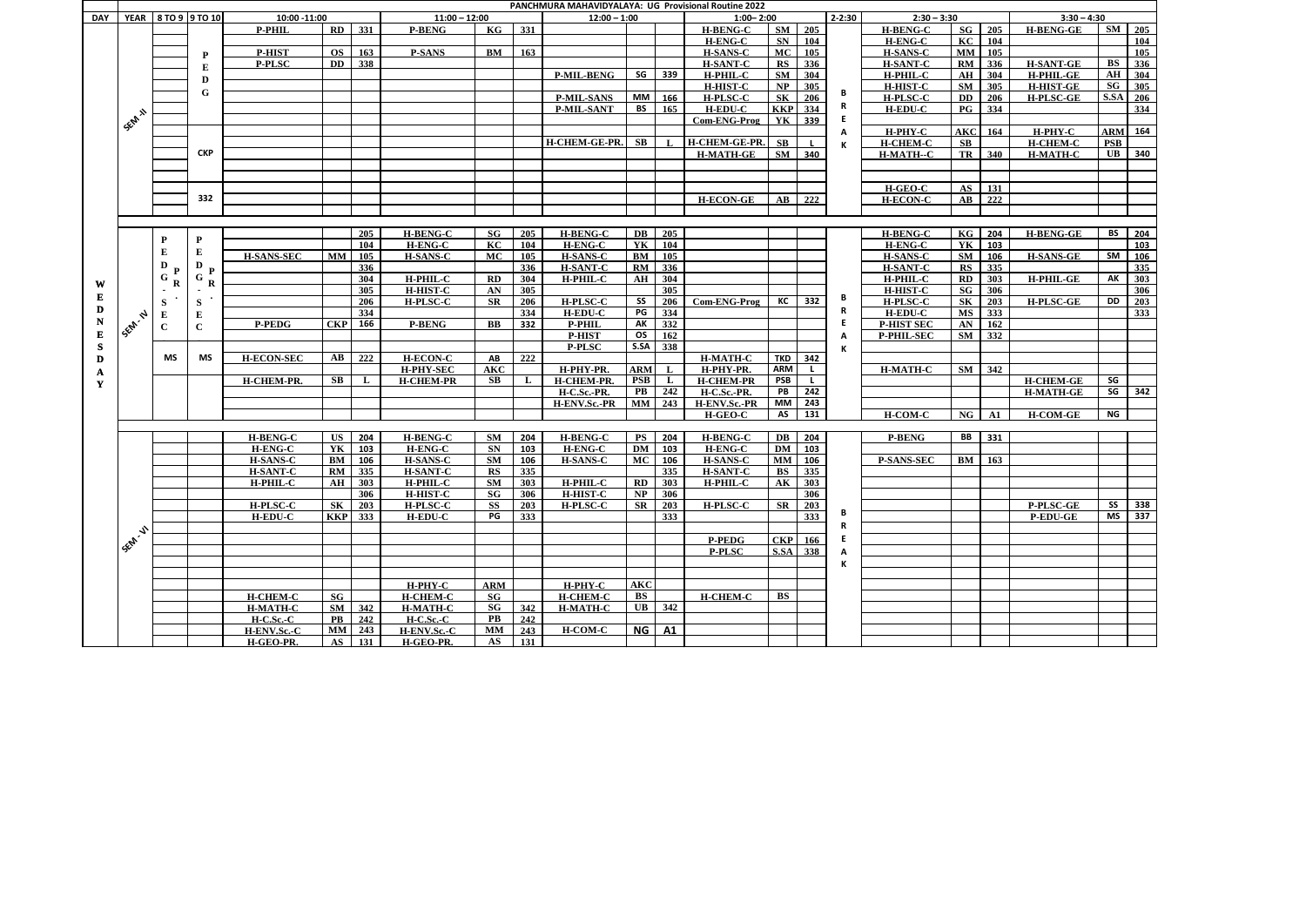| <b>PANCHMURA MAHAVIDYALAYA: UG Provisional Routine 2022</b><br>YEAR 8 TO 9 9 TO 10<br>$2 - 2:30$<br>10:00 -11:00<br>$11:00 - 12:00$<br>$1:00 - 2:00$<br>$2:30 - 3:30$<br>$12:00 - 1:00$<br>DAY<br>RD 331<br>$SM$ 205 |                      |             |              |                   |                        |                            |                  |               |                  |                      |                        |                  |                     |                        |     |    |                   |                        |     |                  |                        |                                |
|----------------------------------------------------------------------------------------------------------------------------------------------------------------------------------------------------------------------|----------------------|-------------|--------------|-------------------|------------------------|----------------------------|------------------|---------------|------------------|----------------------|------------------------|------------------|---------------------|------------------------|-----|----|-------------------|------------------------|-----|------------------|------------------------|--------------------------------|
|                                                                                                                                                                                                                      |                      |             |              |                   |                        |                            |                  |               |                  |                      |                        |                  |                     |                        |     |    |                   |                        |     | $3:30 - 4:30$    |                        |                                |
|                                                                                                                                                                                                                      |                      |             |              | <b>P-PHIL</b>     |                        |                            | <b>P-BENG</b>    | KG            | 331              |                      |                        |                  | <b>H-BENG-C</b>     |                        |     |    | <b>H-BENG-C</b>   | SG                     | 205 | <b>H-BENG-GE</b> |                        | $SM$ 205                       |
|                                                                                                                                                                                                                      |                      |             |              |                   |                        |                            |                  |               |                  |                      |                        |                  | <b>H-ENG-C</b>      | <b>SN</b>              | 104 |    | H-ENG-C           | KC                     | 104 |                  |                        | 104                            |
|                                                                                                                                                                                                                      |                      |             | P            | <b>P-HIST</b>     | <b>OS</b>              | 163                        | <b>P-SANS</b>    | BM            | 163              |                      |                        |                  | <b>H-SANS-C</b>     | <b>MC</b>              | 105 |    | <b>H-SANS-C</b>   | <b>MM</b>              | 105 |                  |                        | 105                            |
|                                                                                                                                                                                                                      |                      |             | ${\bf E}$    | <b>P-PLSC</b>     | DD                     | 338                        |                  |               |                  |                      |                        |                  | <b>H-SANT-C</b>     | RS                     | 336 |    | <b>H-SANT-C</b>   | RM                     | 336 | <b>H-SANT-GE</b> | $\overline{\text{BS}}$ | 336                            |
|                                                                                                                                                                                                                      |                      |             |              |                   |                        |                            |                  |               |                  | <b>P-MIL-BENG</b>    | SG                     | 339              | H-PHIL-C            | SM                     | 304 |    | <b>H-PHIL-C</b>   | AH                     | 304 | <b>H-PHIL-GE</b> | ${\bf AH}$             | 304                            |
|                                                                                                                                                                                                                      |                      |             | D            |                   |                        |                            |                  |               |                  |                      |                        |                  | <b>H-HIST-C</b>     | NP                     | 305 |    | <b>H-HIST-C</b>   | SM                     | 305 | <b>H-HIST-GE</b> | SG                     | 305                            |
|                                                                                                                                                                                                                      |                      |             | G            |                   |                        |                            |                  |               |                  | <b>P-MIL-SANS</b>    | <b>MM</b>              | 166              | <b>H-PLSC-C</b>     | $\overline{\text{SK}}$ | 206 | В  | <b>H-PLSC-C</b>   | <b>DD</b>              | 206 | <b>H-PLSC-GE</b> |                        | S.SA 206                       |
|                                                                                                                                                                                                                      |                      |             |              |                   |                        |                            |                  |               |                  | <b>P-MIL-SANT</b>    | BS                     | 165              | <b>H-EDU-C</b>      | <b>KKP</b> 334         |     | R  | <b>H-EDU-C</b>    | $_{\rm PG}$            | 334 |                  |                        | 334                            |
|                                                                                                                                                                                                                      |                      |             |              |                   |                        |                            |                  |               |                  |                      |                        |                  | <b>Com-ENG-Prog</b> | YK                     | 339 | E. |                   |                        |     |                  |                        |                                |
|                                                                                                                                                                                                                      | SEM N                |             |              |                   |                        |                            |                  |               |                  |                      |                        |                  |                     |                        |     | А  | H-PHY-C           | <b>AKC</b>             | 164 | H-PHY-C          |                        | <b>ARM</b> 164                 |
|                                                                                                                                                                                                                      |                      |             |              |                   |                        |                            |                  |               |                  | <b>H-CHEM-GE-PR.</b> | $\mathbf{S}\mathbf{B}$ |                  | H-CHEM-GE-PR.       | $\mathbf{S}\mathbf{B}$ |     | К  | <b>H-CHEM-C</b>   | SB                     |     | <b>H-CHEM-C</b>  | <b>PSB</b>             |                                |
|                                                                                                                                                                                                                      |                      |             | <b>CKP</b>   |                   |                        |                            |                  |               |                  |                      |                        |                  | <b>H-MATH-GE</b>    | $SM$ 340               |     |    | H-MATH--C         | TR                     | 340 | <b>H-MATH-C</b>  |                        | $UB$ 340                       |
|                                                                                                                                                                                                                      |                      |             |              |                   |                        |                            |                  |               |                  |                      |                        |                  |                     |                        |     |    |                   |                        |     |                  |                        |                                |
|                                                                                                                                                                                                                      |                      |             |              |                   |                        |                            |                  |               |                  |                      |                        |                  |                     |                        |     |    |                   |                        |     |                  |                        |                                |
|                                                                                                                                                                                                                      |                      |             |              |                   |                        |                            |                  |               |                  |                      |                        |                  |                     |                        |     |    | <b>H-GEO-C</b>    | $\mathbf{A}\mathbf{S}$ | 131 |                  |                        |                                |
|                                                                                                                                                                                                                      |                      |             | 332          |                   |                        |                            |                  |               |                  |                      |                        |                  | <b>H-ECON-GE</b>    | $\mathbf{A}\mathbf{B}$ | 222 |    | <b>H-ECON-C</b>   | $\mathbf{A}\mathbf{B}$ | 222 |                  |                        |                                |
|                                                                                                                                                                                                                      |                      |             |              |                   |                        |                            |                  |               |                  |                      |                        |                  |                     |                        |     |    |                   |                        |     |                  |                        |                                |
|                                                                                                                                                                                                                      |                      |             |              |                   |                        |                            |                  |               |                  |                      |                        |                  |                     |                        |     |    |                   |                        |     |                  |                        |                                |
|                                                                                                                                                                                                                      |                      |             |              |                   |                        | 205                        | <b>H-BENG-C</b>  | SG            | 205              | <b>H-BENG-C</b>      |                        | <b>DB</b> 205    |                     |                        |     |    | <b>H-BENG-C</b>   | KG                     | 204 | <b>H-BENG-GE</b> | <b>BS</b>              | $204$                          |
|                                                                                                                                                                                                                      |                      | P           | $\mathbf{P}$ |                   |                        | 104                        | <b>H-ENG-C</b>   | KC            | 104              | H-ENG-C              | YK                     | 104              |                     |                        |     |    | H-ENG-C           | YK                     | 103 |                  |                        | 103                            |
|                                                                                                                                                                                                                      |                      | E           | ${\bf E}$    | <b>H-SANS-SEC</b> | <b>MM</b>              | 105                        | <b>H-SANS-C</b>  | <b>MC</b>     | 105              | <b>H-SANS-C</b>      | BM                     | 105              |                     |                        |     |    | <b>H-SANS-C</b>   | <b>SM</b>              | 106 | <b>H-SANS-GE</b> | SM                     | 106                            |
|                                                                                                                                                                                                                      |                      | D           | $\mathbf D$  |                   |                        | 336                        |                  |               | 336              | <b>H-SANT-C</b>      | RM                     | 336              |                     |                        |     |    | <b>H-SANT-C</b>   | RS                     | 335 |                  |                        | 335                            |
|                                                                                                                                                                                                                      |                      | ${\bf G}$   | ${\bf G}$    |                   |                        | 304                        | H-PHIL-C         | RD            | 304              | H-PHIL-C             | AH                     | 304              |                     |                        |     |    | H-PHIL-C          | RD                     | 303 | H-PHIL-GE        | AK                     | $303$                          |
| W                                                                                                                                                                                                                    |                      | $\bf R$     | R<br>$\sim$  |                   |                        | 305                        | <b>H-HIST-C</b>  | AN            | 305              |                      |                        | 305              |                     |                        |     |    | <b>H-HIST-C</b>   | <b>SG</b>              | 306 |                  |                        | 306                            |
|                                                                                                                                                                                                                      |                      | S           | ${\bf S}$    |                   |                        | 206                        | <b>H-PLSC-C</b>  | SR            | 206              | <b>H-PLSC-C</b>      | SS                     | 206              | Com-ENG-Prog        | KC                     | 332 | В  | <b>H-PLSC-C</b>   | SK                     | 203 | <b>H-PLSC-GE</b> | DD                     | $\overline{203}$               |
| D                                                                                                                                                                                                                    |                      |             |              |                   |                        | 334                        |                  |               | 334              | <b>H-EDU-C</b>       | PG                     | $\overline{334}$ |                     |                        |     | R. | <b>H-EDU-C</b>    | <b>MS</b>              | 333 |                  |                        | 333                            |
| N                                                                                                                                                                                                                    | <b>1 SEM. N</b>      |             | E            | <b>P-PEDG</b>     | CKP                    | 166                        | <b>P-BENG</b>    | BB            | 332              | <b>P-PHIL</b>        | AK                     | 332              |                     |                        |     | E. | <b>P-HIST SEC</b> | AN                     | 162 |                  |                        |                                |
| E                                                                                                                                                                                                                    |                      | $\mathbf C$ | $\mathbf{C}$ |                   |                        |                            |                  |               |                  | <b>P-HIST</b>        | <b>OS</b>              | 162              |                     |                        |     | А  | <b>P-PHIL-SEC</b> | <b>SM</b>              | 332 |                  |                        |                                |
| S                                                                                                                                                                                                                    |                      |             |              |                   |                        |                            |                  |               |                  | <b>P-PLSC</b>        | S.SA                   | 338              |                     |                        |     |    |                   |                        |     |                  |                        |                                |
|                                                                                                                                                                                                                      |                      | <b>MS</b>   | <b>MS</b>    | <b>H-ECON-SEC</b> | $\mathbf{A}\mathbf{B}$ | 222                        | <b>H-ECON-C</b>  | AB            | $\overline{222}$ |                      |                        |                  | <b>H-MATH-C</b>     | <b>TKD</b>             | 342 | К  |                   |                        |     |                  |                        |                                |
| D                                                                                                                                                                                                                    |                      |             |              |                   |                        |                            | H-PHY-SEC        | <b>AKC</b>    |                  | H-PHY-PR.            | <b>ARM</b>             | $\mathbf{I}$ .   | H-PHY-PR.           | <b>ARM</b>             | L.  |    | <b>H-MATH-C</b>   | SM                     | 342 |                  |                        |                                |
| A                                                                                                                                                                                                                    |                      |             |              | H-CHEM-PR.        | $\mathbf{S}\mathbf{B}$ |                            | <b>H-CHEM-PR</b> | SB            |                  | <b>H-CHEM-PR</b>     | <b>PSB</b>             | L                | <b>H-CHEM-PR</b>    | <b>PSB</b>             |     |    |                   |                        |     | <b>H-CHEM-GE</b> | SG                     |                                |
| Y                                                                                                                                                                                                                    |                      |             |              |                   |                        |                            |                  |               |                  | H-C.Sc.-PR.          | PB                     | 242              | H-C.Sc.-PR.         | PB                     | 242 |    |                   |                        |     | <b>H-MATH-GE</b> | SG                     | $\begin{array}{c} \end{array}$ |
|                                                                                                                                                                                                                      |                      |             |              |                   |                        |                            |                  |               |                  | H-ENV.Sc.-PR         |                        | <b>MM</b> 243    | H-ENV.Sc.-PR        | MM I                   | 243 |    |                   |                        |     |                  |                        |                                |
|                                                                                                                                                                                                                      |                      |             |              |                   |                        |                            |                  |               |                  |                      |                        |                  | H-GEO-C             | <b>AS</b>              | 131 |    | <b>H-COM-C</b>    | NG                     | A1  | <b>H-COM-GE</b>  | NG                     |                                |
|                                                                                                                                                                                                                      |                      |             |              |                   |                        |                            |                  |               |                  |                      |                        |                  |                     |                        |     |    |                   |                        |     |                  |                        |                                |
|                                                                                                                                                                                                                      |                      |             |              | H-BENG-C          | <b>US</b>              | 204                        | <b>H-BENG-C</b>  | SM            | 204              | <b>H-BENG-C</b>      |                        | <b>PS</b> 204    | <b>H-BENG-C</b>     | DB                     | 204 |    | <b>P-BENG</b>     | BB                     | 331 |                  |                        |                                |
|                                                                                                                                                                                                                      |                      |             |              | <b>H-ENG-C</b>    | YK                     | 103                        | H-ENG-C          | SN            | 103              | <b>H-ENG-C</b>       |                        | DM 103           | H-ENG-C             | $DM$ 103               |     |    |                   |                        |     |                  |                        |                                |
|                                                                                                                                                                                                                      |                      |             |              | <b>H-SANS-C</b>   | <b>BM</b>              | 106                        | <b>H-SANS-C</b>  | <b>SM</b>     | 106              | H-SANS-C             | MC                     | 106              | H-SANS-C            | MM                     | 106 |    | <b>P-SANS-SEC</b> | BM                     | 163 |                  |                        |                                |
|                                                                                                                                                                                                                      |                      |             |              | <b>H-SANT-C</b>   | RM                     | 335                        | <b>H-SANT-C</b>  | <b>RS</b>     | 335              |                      |                        | 335              | <b>H-SANT-C</b>     | <b>BS</b>              | 335 |    |                   |                        |     |                  |                        |                                |
|                                                                                                                                                                                                                      |                      |             |              | H-PHIL-C          | AH                     | 303                        | <b>H-PHIL-C</b>  | SM            | 303              | <b>H-PHIL-C</b>      | RD                     | 303              | <b>H-PHIL-C</b>     | AK                     | 303 |    |                   |                        |     |                  |                        |                                |
|                                                                                                                                                                                                                      |                      |             |              |                   |                        | 306                        | H-HIST-C         | SG            | 306              | <b>H-HIST-C</b>      |                        | $NP$ 306         |                     |                        | 306 |    |                   |                        |     |                  |                        |                                |
|                                                                                                                                                                                                                      |                      |             |              | <b>H-PLSC-C</b>   | <b>SK</b>              | 203                        | <b>H-PLSC-C</b>  | <b>SS</b>     | 203              | <b>H-PLSC-C</b>      | <b>SR</b>              | 203              | <b>H-PLSC-C</b>     | <b>SR</b>              | 203 |    |                   |                        |     | P-PLSC-GE        | SS                     | 338                            |
|                                                                                                                                                                                                                      |                      |             |              | <b>H-EDU-C</b>    | <b>KKP</b>             | 333                        | <b>H-EDU-C</b>   | PG            | 333              |                      |                        | 333              |                     |                        | 333 | В  |                   |                        |     | <b>P-EDU-GE</b>  | MS                     | 337                            |
|                                                                                                                                                                                                                      |                      |             |              |                   |                        |                            |                  |               |                  |                      |                        |                  |                     |                        |     | R  |                   |                        |     |                  |                        |                                |
|                                                                                                                                                                                                                      | <b>1 SEPA - 41 1</b> |             |              |                   |                        |                            |                  |               |                  |                      |                        |                  | <b>P-PEDG</b>       | <b>CKP</b> 166         |     | E. |                   |                        |     |                  |                        |                                |
|                                                                                                                                                                                                                      |                      |             |              |                   |                        |                            |                  |               |                  |                      |                        |                  | <b>P-PLSC</b>       | S.SA                   | 338 | Α  |                   |                        |     |                  |                        |                                |
|                                                                                                                                                                                                                      |                      |             |              |                   |                        |                            |                  |               |                  |                      |                        |                  |                     |                        |     |    |                   |                        |     |                  |                        |                                |
|                                                                                                                                                                                                                      |                      |             |              |                   |                        |                            |                  |               |                  |                      |                        |                  |                     |                        |     | К  |                   |                        |     |                  |                        |                                |
|                                                                                                                                                                                                                      |                      |             |              |                   |                        |                            | H-PHY-C          | <b>ARM</b>    |                  | H-PHY-C              | <b>AKC</b>             |                  |                     |                        |     |    |                   |                        |     |                  |                        |                                |
|                                                                                                                                                                                                                      |                      |             |              | <b>H-CHEM-C</b>   | SG                     |                            | <b>H-CHEM-C</b>  | SG            |                  | <b>H-CHEM-C</b>      | BS                     |                  | <b>H-CHEM-C</b>     | BS                     |     |    |                   |                        |     |                  |                        |                                |
|                                                                                                                                                                                                                      |                      |             |              | <b>H-MATH-C</b>   | SM                     | 342                        | <b>H-MATH-C</b>  | SG            | 342              | <b>H-MATH-C</b>      |                        | <b>UB</b> 342    |                     |                        |     |    |                   |                        |     |                  |                        |                                |
|                                                                                                                                                                                                                      |                      |             |              | $H-C.Sc.-C$       | $\mathbf{PB}$          | $\overline{242}$           | $H-C.Sc.-C$      | $\mathbf{PB}$ | 242              |                      |                        |                  |                     |                        |     |    |                   |                        |     |                  |                        |                                |
|                                                                                                                                                                                                                      |                      |             |              | H-ENV.Sc.-C       |                        | $\overline{\text{MM}}$ 243 | H-ENV.Sc.-C      | <b>MM</b>     | 243              | H-COM-C              |                        | NG A1            |                     |                        |     |    |                   |                        |     |                  |                        |                                |
|                                                                                                                                                                                                                      |                      |             |              | H-GEO-PR.         | AS                     | 131                        | H-GEO-PR.        | AS            | 131              |                      |                        |                  |                     |                        |     |    |                   |                        |     |                  |                        |                                |
|                                                                                                                                                                                                                      |                      |             |              |                   |                        |                            |                  |               |                  |                      |                        |                  |                     |                        |     |    |                   |                        |     |                  |                        |                                |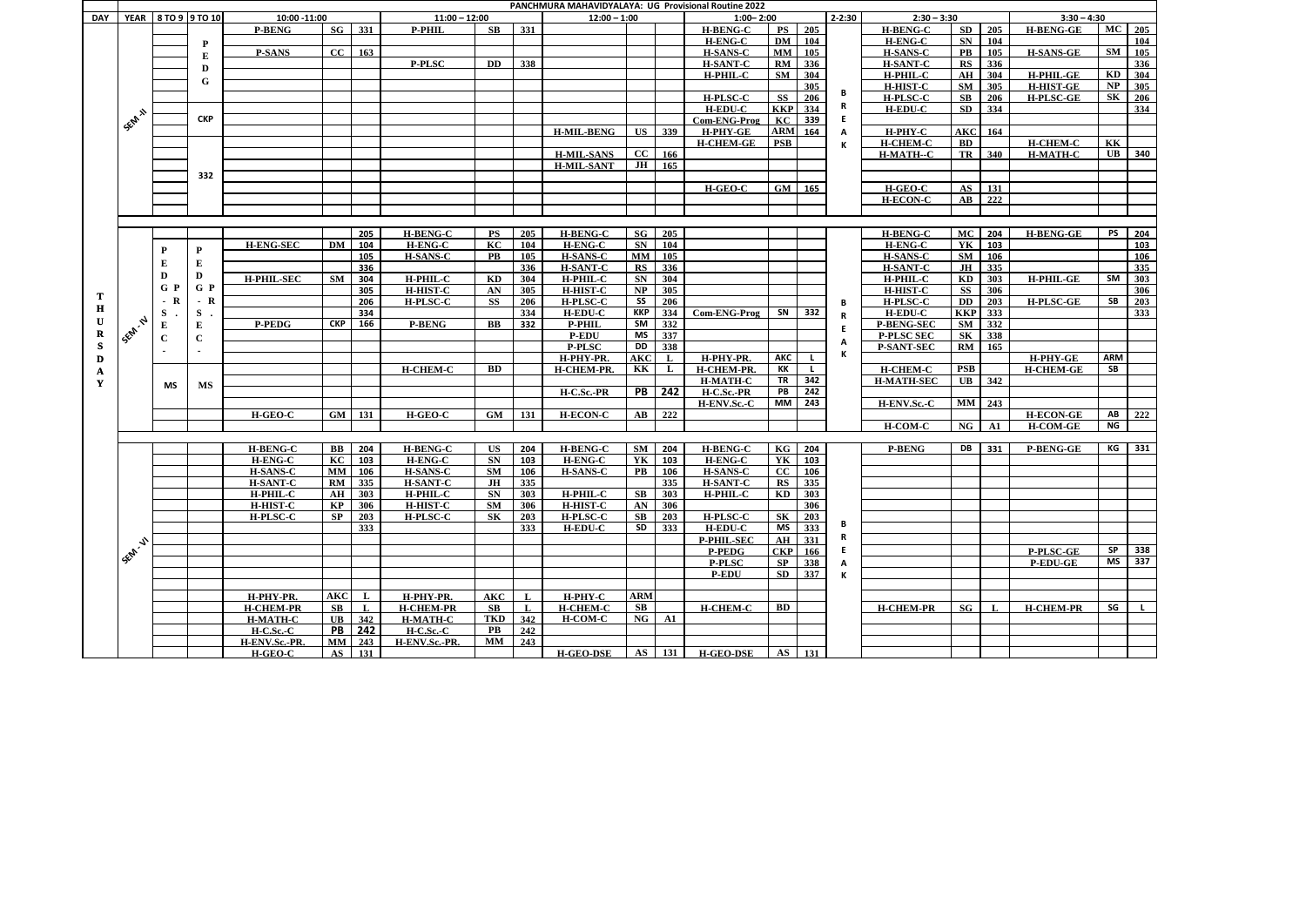|            |                    |       |                            |                   |            |               |                  |                        |                 | <b>PANCHMURA MAHAVIDYALAYA: UG Provisional Routine 2022</b> |                        |               |                     |                |                |            |                   |                                   |               |                  |               |     |
|------------|--------------------|-------|----------------------------|-------------------|------------|---------------|------------------|------------------------|-----------------|-------------------------------------------------------------|------------------------|---------------|---------------------|----------------|----------------|------------|-------------------|-----------------------------------|---------------|------------------|---------------|-----|
| <b>DAY</b> |                    |       | <b>YEAR 8 TO 9 9 TO 10</b> | 10:00 -11:00      |            |               | $11:00 - 12:00$  |                        |                 | $12:00 - 1:00$                                              |                        |               | $1:00 - 2:00$       |                |                | $2 - 2:30$ | $2:30 - 3:30$     |                                   |               | $3:30 - 4:30$    |               |     |
|            |                    |       |                            | <b>P-BENG</b>     |            | $SG$ 331      | <b>P-PHIL</b>    | SB                     | 331             |                                                             |                        |               | <b>H-BENG-C</b>     |                | <b>PS</b> 205  |            | <b>H-BENG-C</b>   | SD                                | 205           | <b>H-BENG-GE</b> | $MC$ 205      |     |
|            |                    |       | P                          |                   |            |               |                  |                        |                 |                                                             |                        |               | <b>H-ENG-C</b>      | DM             | 104            |            | <b>H-ENG-C</b>    | SN                                | 104           |                  |               | 104 |
|            |                    |       | E                          | <b>P-SANS</b>     |            | $CC$ 163      |                  |                        |                 |                                                             |                        |               | <b>H-SANS-C</b>     |                | $MM$ 105       |            | <b>H-SANS-C</b>   | <b>PB</b>                         | 105           | <b>H-SANS-GE</b> | SM            | 105 |
|            |                    |       | D                          |                   |            |               | <b>P-PLSC</b>    | <b>DD</b>              | 338             |                                                             |                        |               | <b>H-SANT-C</b>     |                | RM 336         |            | <b>H-SANT-C</b>   | RS                                | 336           |                  |               | 336 |
|            |                    |       | G                          |                   |            |               |                  |                        |                 |                                                             |                        |               | H-PHIL-C            |                | SM 304         |            | H-PHIL-C          | AH                                | 304           | <b>H-PHIL-GE</b> | KD            | 304 |
|            |                    |       |                            |                   |            |               |                  |                        |                 |                                                             |                        |               |                     |                | 305            | В          | <b>H-HIST-C</b>   |                                   | $SM$ 305      | <b>H-HIST-GE</b> | NP            | 305 |
|            |                    |       |                            |                   |            |               |                  |                        |                 |                                                             |                        |               | <b>H-PLSC-C</b>     | <b>SS</b>      | 206            |            | <b>H-PLSC-C</b>   | SB                                | 206           | <b>H-PLSC-GE</b> | SK            | 206 |
|            |                    |       |                            |                   |            |               |                  |                        |                 |                                                             |                        |               | <b>H-EDU-C</b>      |                | <b>KKP</b> 334 | R.         | <b>H-EDU-C</b>    | <b>SD</b>                         | 334           |                  |               | 334 |
|            | <b>SEM 11</b>      |       | <b>CKP</b>                 |                   |            |               |                  |                        |                 |                                                             |                        |               | <b>Com-ENG-Prog</b> | KC             | 339            | E.         |                   |                                   |               |                  |               |     |
|            |                    |       |                            |                   |            |               |                  |                        |                 | <b>H-MIL-BENG</b>                                           |                        | <b>US</b> 339 | H-PHY-GE            |                | <b>ARM</b> 164 | A          | H-PHY-C           | <b>AKC</b>                        | 164           |                  |               |     |
|            |                    |       |                            |                   |            |               |                  |                        |                 |                                                             |                        |               | <b>H-CHEM-GE</b>    | <b>PSB</b>     |                | К          | <b>H-CHEM-C</b>   | <b>BD</b>                         |               | <b>H-CHEM-C</b>  | KK            |     |
|            |                    |       |                            |                   |            |               |                  |                        |                 | <b>H-MIL-SANS</b>                                           | CC                     | 166           |                     |                |                |            | H-MATH--C         | TR                                | 340           | <b>H-MATH-C</b>  | $\mathbf{UB}$ | 340 |
|            |                    |       |                            |                   |            |               |                  |                        |                 | <b>H-MIL-SANT</b>                                           | JH                     | 165           |                     |                |                |            |                   |                                   |               |                  |               |     |
|            |                    |       | 332                        |                   |            |               |                  |                        |                 |                                                             |                        |               |                     |                |                |            |                   |                                   |               |                  |               |     |
|            |                    |       |                            |                   |            |               |                  |                        |                 |                                                             |                        |               | $H-GEO-C$           |                | $GM$ 165       |            | $H-GEO-C$         | $\overline{\mathbf{A}}\mathbf{S}$ | 131           |                  |               |     |
|            |                    |       |                            |                   |            |               |                  |                        |                 |                                                             |                        |               |                     |                |                |            | <b>H-ECON-C</b>   | $\mathbf{A}\mathbf{B}$            | 222           |                  |               |     |
|            |                    |       |                            |                   |            |               |                  |                        |                 |                                                             |                        |               |                     |                |                |            |                   |                                   |               |                  |               |     |
|            |                    |       |                            |                   |            |               |                  |                        |                 |                                                             |                        |               |                     |                |                |            |                   |                                   |               |                  |               |     |
|            |                    |       |                            |                   |            | 205           | <b>H-BENG-C</b>  | PS                     | 205             | <b>H-BENG-C</b>                                             | SG                     | 205           |                     |                |                |            | <b>H-BENG-C</b>   | MC                                | 204           | <b>H-BENG-GE</b> | PS            | 204 |
|            |                    | P     | P                          | <b>H-ENG-SEC</b>  | DM         | 104           | <b>H-ENG-C</b>   | KC                     | <b>104</b>      | H-ENG-C                                                     | SN                     | 104           |                     |                |                |            | <b>H-ENG-C</b>    | YK                                | 103           |                  |               | 103 |
|            |                    | Е     | Е                          |                   |            | 105           | <b>H-SANS-C</b>  | <b>PB</b>              | 105             | <b>H-SANS-C</b>                                             | MM                     | 105           |                     |                |                |            | <b>H-SANS-C</b>   | SM                                | 106           |                  |               | 106 |
|            |                    | D     | D                          |                   |            | 336           |                  |                        | 336             | <b>H-SANT-C</b>                                             | ${\bf RS}$             | 336           |                     |                |                |            | <b>H-SANT-C</b>   | JH                                | 335           |                  |               | 335 |
|            |                    | G P   | $G$ $P$                    | <b>H-PHIL-SEC</b> | <b>SM</b>  | 304           | H-PHIL-C         | KD                     | 304             | H-PHIL-C                                                    | <b>SN</b>              | 304           |                     |                |                |            | H-PHIL-C          | KD                                | 303           | <b>H-PHIL-GE</b> | SM            | 303 |
| Т          |                    |       |                            |                   |            | 305           | <b>H-HIST-C</b>  | AN                     | 305             | <b>H-HIST-C</b>                                             | NP                     | 305           |                     |                |                |            | <b>H-HIST-C</b>   | <b>SS</b>                         | 306           |                  |               | 306 |
| Н          |                    | $- R$ | R<br>$\sim$                |                   |            | 206           | <b>H-PLSC-C</b>  | <b>SS</b>              | 206             | <b>H-PLSC-C</b>                                             | SS                     | 206           |                     |                |                | В          | <b>H-PLSC-C</b>   | <b>DD</b>                         | 203           | <b>H-PLSC-GE</b> | <b>SB</b>     | 203 |
| U          |                    | S.    | S                          |                   |            | 334           |                  |                        | 334             | <b>H-EDU-C</b>                                              | ККР                    | 334           | <b>Com-ENG-Prog</b> | SN             | 332            | R          | <b>H-EDU-C</b>    | <b>KKP</b>                        | 333           |                  |               | 333 |
|            | <b>1 SEM. N</b>    | Е     | E                          | <b>P-PEDG</b>     | <b>CKP</b> | 166           | <b>P-BENG</b>    | BB                     | 332             | <b>P-PHIL</b>                                               | SM                     | 332           |                     |                |                | E          | <b>P-BENG-SEC</b> | SM                                | 332           |                  |               |     |
| R          |                    | C     | $\mathbf C$                |                   |            |               |                  |                        |                 | <b>P-EDU</b>                                                | MS                     | 337           |                     |                |                | A          | <b>P-PLSC SEC</b> | $S_{\mathbf{K}}$                  | 338           |                  |               |     |
| S          |                    |       |                            |                   |            |               |                  |                        |                 | <b>P-PLSC</b>                                               | DD                     | 338           |                     |                |                | К          | <b>P-SANT-SEC</b> | RM                                | 165           |                  |               |     |
| D          |                    |       |                            |                   |            |               |                  |                        |                 | H-PHY-PR.                                                   | <b>AKC</b>             | $\mathbf{L}$  | H-PHY-PR.           | АКС            |                |            |                   |                                   |               | H-PHY-GE         | <b>ARM</b>    |     |
| A          |                    |       |                            |                   |            |               | <b>H-CHEM-C</b>  | <b>BD</b>              |                 | H-CHEM-PR.                                                  | KK                     | $\mathbf{L}$  | H-CHEM-PR           | KK             | $\mathbf{L}$   |            | <b>H-CHEM-C</b>   | <b>PSB</b>                        |               | <b>H-CHEM-GE</b> | <b>SB</b>     |     |
| Y          |                    | MS    | MS                         |                   |            |               |                  |                        |                 |                                                             |                        |               | <b>H-MATH-C</b>     |                | TR 342         |            | <b>H-MATH-SEC</b> | $\mathbf{UB}$                     | 342           |                  |               |     |
|            |                    |       |                            |                   |            |               |                  |                        |                 | H-C.Sc.-PR                                                  |                        | <b>PB</b> 242 | H-C.Sc.-PR          |                | PB 242         |            |                   |                                   |               |                  |               |     |
|            |                    |       |                            |                   |            |               |                  |                        |                 |                                                             |                        |               | H-ENV.Sc.-C         |                | MM 243         |            | H-ENV.Sc.-C       |                                   | $MM$ 243      |                  |               |     |
|            |                    |       |                            | H-GEO-C           |            | $GM$ 131      | H-GEO-C          | GM                     | 131             | <b>H-ECON-C</b>                                             | AB                     | 222           |                     |                |                |            |                   |                                   |               | <b>H-ECON-GE</b> | AB            | 222 |
|            |                    |       |                            |                   |            |               |                  |                        |                 |                                                             |                        |               |                     |                |                |            | H-COM-C           | <b>NG</b>                         | $\mathbf{A1}$ | <b>H-COM-GE</b>  | <b>NG</b>     |     |
|            |                    |       |                            |                   |            |               |                  |                        |                 |                                                             |                        |               |                     |                |                |            |                   |                                   |               |                  |               |     |
|            |                    |       |                            | <b>H-BENG-C</b>   | BB         | 204           | <b>H-BENG-C</b>  | US                     | 204             | <b>H-BENG-C</b>                                             | <b>SM</b>              | 204           | <b>H-BENG-C</b>     | KG             | 204            |            | <b>P-BENG</b>     | DB                                | 331           | <b>P-BENG-GE</b> | KG            | 331 |
|            |                    |       |                            | H-ENG-C           |            | $KC$ 103      | <b>H-ENG-C</b>   | SN                     | 103             | <b>H-ENG-C</b>                                              | YK                     | 103           | H-ENG-C             |                | YK 103         |            |                   |                                   |               |                  |               |     |
|            |                    |       |                            | <b>H-SANS-C</b>   | <b>MM</b>  | 106           | <b>H-SANS-C</b>  | SM                     | 106             | <b>H-SANS-C</b>                                             | <b>PB</b>              | 106           | <b>H-SANS-C</b>     | CC             | 106            |            |                   |                                   |               |                  |               |     |
|            |                    |       |                            | <b>H-SANT-C</b>   |            | RM 335        | <b>H-SANT-C</b>  | JH                     | 335             |                                                             |                        | 335           | <b>H-SANT-C</b>     |                | RS 335         |            |                   |                                   |               |                  |               |     |
|            |                    |       |                            | H-PHIL-C          |            | AH 303        | H-PHIL-C         | SN                     | $\frac{303}{ }$ | H-PHIL-C                                                    |                        | SB 303        | H-PHIL-C            |                | KD 303         |            |                   |                                   |               |                  |               |     |
|            |                    |       |                            | <b>H-HIST-C</b>   |            | KP 306        | <b>H-HIST-C</b>  | SM                     | 306             | <b>H-HIST-C</b>                                             | AN                     | 306           |                     |                | $306$          |            |                   |                                   |               |                  |               |     |
|            |                    |       |                            | <b>H-PLSC-C</b>   | SP         | 203           | <b>H-PLSC-C</b>  | S <sub>K</sub>         | 203             | <b>H-PLSC-C</b>                                             | SB                     | 203           | <b>H-PLSC-C</b>     | S <sub>K</sub> | 203            | В          |                   |                                   |               |                  |               |     |
|            |                    |       |                            |                   |            | 333           |                  |                        | 333             | H-EDU-C                                                     | SD                     | 333           | <b>H-EDU-C</b>      | MS             | 333            | R          |                   |                                   |               |                  |               |     |
|            | <b>1 SEPA 11 1</b> |       |                            |                   |            |               |                  |                        |                 |                                                             |                        |               | <b>P-PHIL-SEC</b>   | AH             | 331            |            |                   |                                   |               |                  |               |     |
|            |                    |       |                            |                   |            |               |                  |                        |                 |                                                             |                        |               | <b>P-PEDG</b>       |                | $CKP$ 166      | E.         |                   |                                   |               | <b>P-PLSC-GE</b> | <b>SP</b>     | 338 |
|            |                    |       |                            |                   |            |               |                  |                        |                 |                                                             |                        |               | <b>P-PLSC</b>       | SP             | 338            | A          |                   |                                   |               | <b>P-EDU-GE</b>  | MS            | 337 |
|            |                    |       |                            |                   |            |               |                  |                        |                 |                                                             |                        |               | <b>P-EDU</b>        |                | SD 337         | К          |                   |                                   |               |                  |               |     |
|            |                    |       |                            | H-PHY-PR.         | <b>AKC</b> |               |                  |                        |                 |                                                             | $\mathbf{ARM}$         |               |                     |                |                |            |                   |                                   |               |                  |               |     |
|            |                    |       |                            |                   |            | $\mathbf{L}$  | H-PHY-PR.        | <b>AKC</b>             |                 | H-PHY-C                                                     |                        |               | H-CHEM-C            |                |                |            |                   |                                   |               |                  |               |     |
|            |                    |       |                            | <b>H-CHEM-PR</b>  | SB         | $\mathbf{L}$  | <b>H-CHEM-PR</b> | $\mathbf{S}\mathbf{B}$ | $\mathbf{L}$    | <b>H-CHEM-C</b>                                             | $\mathbf{S}\mathbf{B}$ |               |                     | <b>BD</b>      |                |            | <b>H-CHEM-PR</b>  | SG                                | $\mathbf{L}$  | H-CHEM-PR        | SG            |     |
|            |                    |       |                            | H-MATH-C          |            | UB 342        | <b>H-MATH-C</b>  | <b>TKD</b>             | 342             | H-COM-C                                                     | NG                     | A1            |                     |                |                |            |                   |                                   |               |                  |               |     |
|            |                    |       |                            | $H-C.Sc.-C$       |            | <b>PB</b> 242 | $H-C.Sc.-C$      | $\mathbf{PB}$          | 242             |                                                             |                        |               |                     |                |                |            |                   |                                   |               |                  |               |     |
|            |                    |       |                            | H-ENV.Sc.-PR.     |            | MM 243        | H-ENV.Sc.-PR.    | MM                     | 243             |                                                             |                        |               |                     |                |                |            |                   |                                   |               |                  |               |     |
|            |                    |       |                            | H-GEO-C           |            | $AS$   131    |                  |                        |                 | <b>H-GEO-DSE</b>                                            |                        | AS 131        | <b>H-GEO-DSE</b>    |                | $AS$   131     |            |                   |                                   |               |                  |               |     |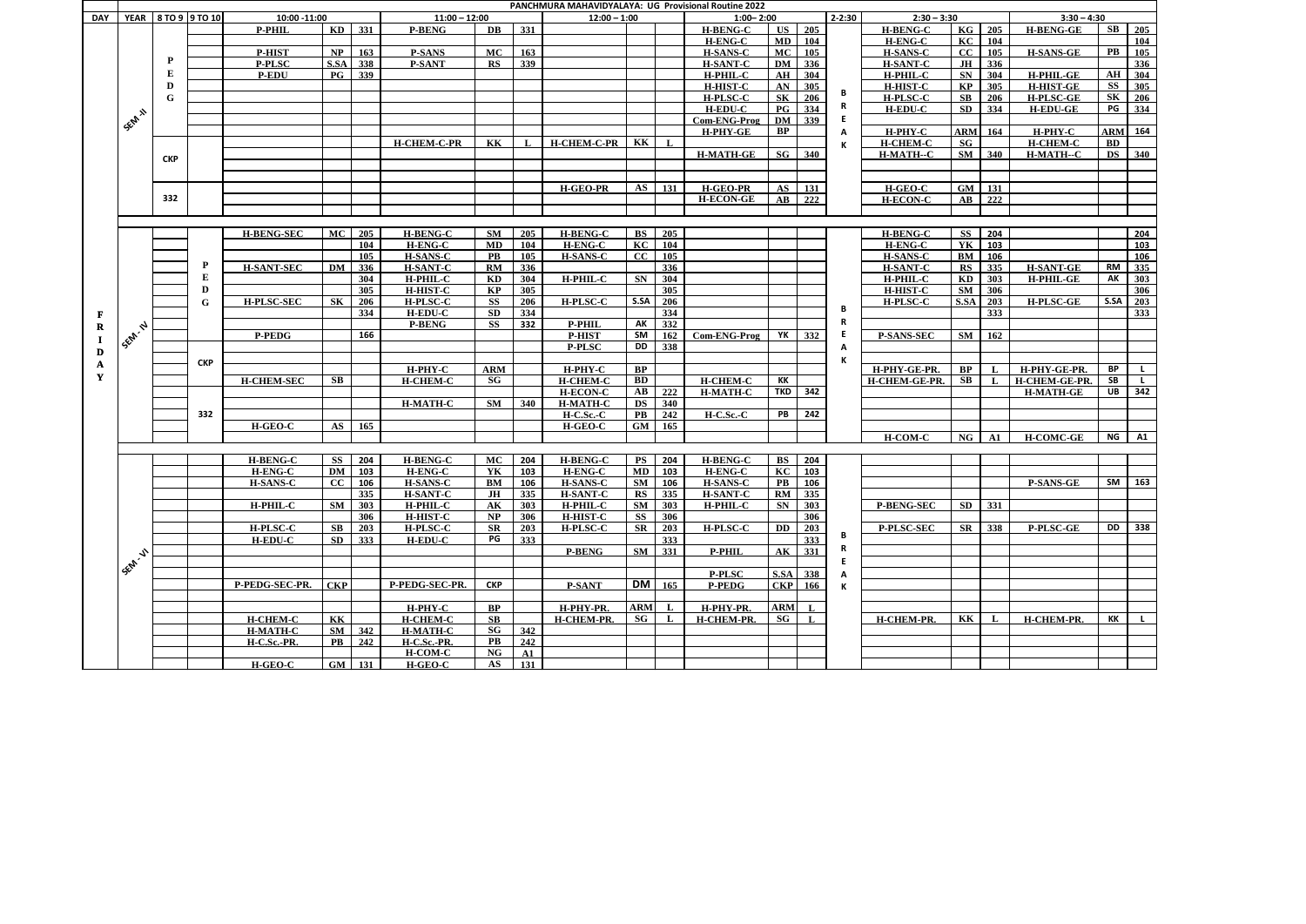| YEAR 8 TO 9 9 TO 10<br>$2 - 2:30$<br>10:00 -11:00<br>$11:00 - 12:00$<br>$2:30 - 3:30$<br>$12:00 - 1:00$<br>$1:00 - 2:00$<br><b>DAY</b><br>$SB$ 205<br>KD 331<br>331<br>US 205<br>KG $\sqrt{205}$<br>DB<br><b>H-BENG-C</b><br><b>H-BENG-C</b><br><b>P-PHIL</b><br><b>P-BENG</b><br><b>H-BENG-GE</b><br>MD 104<br>KC<br>104<br><b>H-ENG-C</b><br>H-ENG-C<br>104<br><b>PB</b><br><b>MC</b><br>163<br>MC 105<br><b>P-HIST</b><br>NP<br>163<br><b>P-SANS</b><br><b>H-SANS-C</b><br><b>H-SANS-C</b><br>cc<br>105<br><b>H-SANS-GE</b><br>P<br>S.SA<br>338<br>339<br><b>DM</b><br>336<br>336<br><b>P-PLSC</b><br><b>P-SANT</b><br>RS<br><b>H-SANT-C</b><br><b>H-SANT-C</b><br><b>JH</b><br>E<br>339<br>SN<br>AH 304<br>$\overline{\mathbf{P}\mathbf{G}}$<br>AH<br>$\vert$ 304<br>304<br><b>H-PHIL-GE</b><br><b>P-EDU</b><br>H-PHIL-C<br><b>H-PHIL-C</b><br>$\overline{\text{SS}}$<br>AN<br>305<br>305<br>305<br>D<br><b>H-HIST-C</b><br>KP<br><b>H-HIST-GE</b><br><b>H-HIST-C</b><br>В<br>$\overline{\text{SK}}$<br>$\overline{\text{SK}}$<br><b>H-PLSC-C</b><br>$\vert$ 206<br><b>H-PLSC-C</b><br>SB<br>206<br><b>H-PLSC-GE</b><br>206<br>${\bf G}$<br>R<br>PG<br>$_{\rm PG}$<br>334<br><b>SD</b><br>334<br>334<br><b>H-EDU-C</b><br><b>H-EDU-C</b><br><b>H-EDU-GE</b><br>SEM 11<br><b>DM</b><br>$\begin{array}{c} \boxed{339} \end{array}$<br>E.<br>Com-ENG-Prog<br>BP<br>H-PHY-C<br><b>ARM</b><br>H-PHY-C<br><b>ARM</b> 164<br>H-PHY-GE<br>164<br>А<br>$H$ -CHEM-C-PR KK<br>KK<br><b>H-CHEM-C</b><br>SG<br><b>H-CHEM-C</b><br><b>BD</b><br><b>H-CHEM-C-PR</b><br>$\mathbf{L}$<br>П.<br>ĸ<br>$SG$ 340<br>SM<br>$340$<br><b>DS</b> 340<br><b>H-MATH-GE</b><br>H-MATH--C<br>H-MATH--C<br><b>CKP</b><br>AS 131<br><b>H-GEO-PR</b><br><b>H-GEO-PR</b><br>$\overline{\mathbf{A}}\mathbf{S}$<br>$\vert$ 131<br>H-GEO-C<br>GM<br>$\vert$ 131<br>332<br><b>H-ECON-GE</b><br>$\vert$ 222<br>222<br>$\mathbf{A}\mathbf{B}$<br><b>H-ECON-C</b><br>$\mathbf{A}\mathbf{B}$<br><b>MC</b><br>205<br><b>H-BENG-C</b><br>H-BENG-C<br><b>BS</b> 205<br>204<br><b>H-BENG-SEC</b><br>$\mathbf{S}\mathbf{M}$<br>205<br><b>H-BENG-C</b><br>SS<br>204<br>104<br>104<br><b>H-ENG-C</b><br>MD<br>104<br>H-ENG-C<br>KC<br>YK<br>103<br>103<br>H-ENG-C<br>105<br><b>H-SANS-C</b><br>$\mathbf{CC}$<br>105<br>$\mathbf{PB}$<br>105<br><b>H-SANS-C</b><br>H-SANS-C<br>BM<br>106<br>106<br>P<br><b>H-SANT-C</b><br>336<br>336<br>335<br><b>H-SANT-SEC</b><br>DM<br>336<br>RM<br><b>H-SANT-C</b><br>RS<br>335<br><b>H-SANT-GE</b><br>RM<br>E<br>AK<br>304<br>H-PHIL-C<br>H-PHIL-C<br>SN<br>304<br>H-PHIL-C<br>303<br><b>H-PHIL-GE</b><br>303<br>KD<br>304<br>KD<br>305<br>305<br><b>H-HIST-C</b><br>KP<br>305<br><b>H-HIST-C</b><br>SM<br>306<br>306<br>D<br>S.SA<br>S.SA<br>206<br>206<br>203<br>203<br>$\mathbf G$<br><b>H-PLSC-SEC</b><br>SK<br><b>H-PLSC-C</b><br><b>SS</b><br>206<br><b>H-PLSC-C</b><br>H-PLSC-C<br>S.SA<br><b>H-PLSC-GE</b><br>в<br>$\overline{334}$<br>334<br><b>SD</b><br>334<br>333<br>333<br><b>H-EDU-C</b><br>F<br>R<br>332<br><b>P-PHIL</b><br>AK<br><b>P-BENG</b><br>SS<br>332<br>1 Sep. 12 1<br>$\bf{R}$<br>166<br>SM<br>YK<br>162<br>Com-ENG-Prog<br>332<br>SM<br>162<br><b>P-PEDG</b><br><b>P-HIST</b><br>E.<br><b>P-SANS-SEC</b><br>$\bf{I}$<br>338<br>DD<br><b>P-PLSC</b><br>А<br>D<br>К<br><b>CKP</b><br>A<br><b>BP</b><br>BP<br>BP<br>H-PHY-C<br><b>ARM</b><br>H-PHY-C<br>H-PHY-GE-PR.<br>H-PHY-GE-PR<br>Y<br><b>SB</b><br>SB<br>SG<br>BD<br>KK<br>SB<br><b>H-CHEM-C</b><br><b>H-CHEM-GE-PR</b><br><b>H-CHEM-SEC</b><br><b>H-CHEM-C</b><br><b>H-CHEM-C</b><br><b>H-CHEM-GE-PR.</b><br><b>L</b><br>$\mathbf{I}$<br><b>TKD 342</b><br>UB<br>342<br>AB<br>222<br><b>H-MATH-C</b><br><b>H-ECON-C</b><br><b>H-MATH-GE</b><br><b>DS</b> 340<br><b>H-MATH-C</b><br>SM<br>340<br><b>H-MATH-C</b><br>332<br>PB<br>242<br>H-C.Sc.-C<br>PB<br>242<br>$H-C.$ Sc.- $C$<br>$AS$ 165<br>165<br>GM<br>H-GEO-C<br>H-GEO-C<br>H-COM-C<br>H-COMC-GE<br>NG<br>$\mathsf{A1}$<br>NG<br>$\mathbf{A1}$<br><b>H-BENG-C</b><br><b>H-BENG-C</b><br>MC<br><b>H-BENG-C</b><br>PS<br><b>H-BENG-C</b><br><b>BS</b><br>SS<br>204<br>204<br>204<br>204<br>KC<br><b>H-ENG-C</b><br><b>DM</b><br>103<br><b>H-ENG-C</b><br>YK<br>103<br><b>H-ENG-C</b><br>MD 103<br><b>H-ENG-C</b><br>$\vert$ 103<br>$SM$ 163<br>SM<br>CC<br><b>H-SANS-C</b><br><b>H-SANS-C</b><br>106<br><b>H-SANS-C</b><br>$\overline{\text{PB}}$<br><b>H-SANS-C</b><br>106<br>BM<br>106<br>106<br><b>P-SANS-GE</b><br>335<br><b>H-SANT-C</b><br><b>H-SANT-C</b><br>RS 335<br><b>H-SANT-C</b><br>RM 335<br>JH<br>335<br>303<br>303<br>H-PHIL-C<br>SM 303<br>SN 303<br>$SD$ 331<br>H-PHIL-C<br>SM<br>H-PHIL-C<br>AK<br>H-PHIL-C<br><b>P-BENG-SEC</b><br>306<br>H-HIST-C<br><b>H-HIST-C</b><br>SS 306<br>NP<br>306<br>306<br>P-PLSC-SEC<br>SR<br>203<br>H-PLSC-C<br><b>DD</b><br>$\boxed{203}$<br>338<br>P-PLSC-GE<br>DD<br><b>H-PLSC-C</b><br>SB<br>203<br><b>H-PLSC-C</b><br>203<br><b>H-PLSC-C</b><br>SR<br>SR<br>В<br>$\overline{333}$<br><b>H-EDU-C</b><br>SD<br>333<br><b>H-EDU-C</b><br>PG<br>333<br>333<br>R<br><b>P-BENG</b><br>SM 331<br><b>P-PHIL</b><br>AK 331<br><b>155M-V1</b><br>S.SA 338<br><b>P-PLSC</b><br>A<br>$DM \overline{165}$<br>P-PEDG-SEC-PR.<br><b>CKP</b><br>P-PEDG-SEC-PR.<br>CKP 166<br><b>CKP</b><br><b>P-SANT</b><br>P-PEDG<br>К<br>BP<br><b>ARM</b><br>$H-PHY-C$<br>H-PHY-PR.<br>H-PHY-PR.<br>$ARM$ L<br>$\mathbf{L}$<br>SG<br>SG<br>KK<br><b>H-CHEM-C</b><br>SB<br><b>H-CHEM-PR.</b><br>KK<br>KK<br><b>H-CHEM-C</b><br>H-CHEM-PR.<br>$\mathbf{L}$<br>H-CHEM-PR.<br>H-CHEM-PR.<br>$\mathbf{L}$<br>$\mathbf{L}$<br>$\mathbf{L}$<br>SG<br>SM 342<br><b>H-MATH-C</b><br>342<br><b>H-MATH-C</b><br>242<br>$\overline{\text{PB}}$<br>242<br>$\mathbf{PB}$<br>H-C.Sc.-PR.<br>H-C.Sc.-PR.<br>NG<br>H-COM-C<br>A1<br>$\overline{GM}$ 131<br>AS<br>131<br>H-GEO-C<br>H-GEO-C | PANCHMURA MAHAVIDYALAYA: UG Provisional Routine 2022<br>$3:30 - 4:30$ |  |  |  |  |  |  |  |  |  |  |  |  |  |  |  |  |  |  |                                                 |
|--------------------------------------------------------------------------------------------------------------------------------------------------------------------------------------------------------------------------------------------------------------------------------------------------------------------------------------------------------------------------------------------------------------------------------------------------------------------------------------------------------------------------------------------------------------------------------------------------------------------------------------------------------------------------------------------------------------------------------------------------------------------------------------------------------------------------------------------------------------------------------------------------------------------------------------------------------------------------------------------------------------------------------------------------------------------------------------------------------------------------------------------------------------------------------------------------------------------------------------------------------------------------------------------------------------------------------------------------------------------------------------------------------------------------------------------------------------------------------------------------------------------------------------------------------------------------------------------------------------------------------------------------------------------------------------------------------------------------------------------------------------------------------------------------------------------------------------------------------------------------------------------------------------------------------------------------------------------------------------------------------------------------------------------------------------------------------------------------------------------------------------------------------------------------------------------------------------------------------------------------------------------------------------------------------------------------------------------------------------------------------------------------------------------------------------------------------------------------------------------------------------------------------------------------------------------------------------------------------------------------------------------------------------------------------------------------------------------------------------------------------------------------------------------------------------------------------------------------------------------------------------------------------------------------------------------------------------------------------------------------------------------------------------------------------------------------------------------------------------------------------------------------------------------------------------------------------------------------------------------------------------------------------------------------------------------------------------------------------------------------------------------------------------------------------------------------------------------------------------------------------------------------------------------------------------------------------------------------------------------------------------------------------------------------------------------------------------------------------------------------------------------------------------------------------------------------------------------------------------------------------------------------------------------------------------------------------------------------------------------------------------------------------------------------------------------------------------------------------------------------------------------------------------------------------------------------------------------------------------------------------------------------------------------------------------------------------------------------------------------------------------------------------------------------------------------------------------------------------------------------------------------------------------------------------------------------------------------------------------------------------------------------------------------------------------------------------------------------------------------------------------------------------------------------------------------------------------------------------------------------------------------------------------------------------------------------------------------------------------------------------------------------------------------------------------------------------------------------------------------------------------------------------------------------------------------------------------------------------------------------------------------------------------------------------------------------------------------------------------------------------------------------------------------------------------------------------------------------------------------------------------------------------------------------------------------------------------------------------------------------------------------------------------------------------------------------------------------------------------------------------------------------------------------------------------------------------|-----------------------------------------------------------------------|--|--|--|--|--|--|--|--|--|--|--|--|--|--|--|--|--|--|-------------------------------------------------|
|                                                                                                                                                                                                                                                                                                                                                                                                                                                                                                                                                                                                                                                                                                                                                                                                                                                                                                                                                                                                                                                                                                                                                                                                                                                                                                                                                                                                                                                                                                                                                                                                                                                                                                                                                                                                                                                                                                                                                                                                                                                                                                                                                                                                                                                                                                                                                                                                                                                                                                                                                                                                                                                                                                                                                                                                                                                                                                                                                                                                                                                                                                                                                                                                                                                                                                                                                                                                                                                                                                                                                                                                                                                                                                                                                                                                                                                                                                                                                                                                                                                                                                                                                                                                                                                                                                                                                                                                                                                                                                                                                                                                                                                                                                                                                                                                                                                                                                                                                                                                                                                                                                                                                                                                                                                                                                                                                                                                                                                                                                                                                                                                                                                                                                                                                                                                                                |                                                                       |  |  |  |  |  |  |  |  |  |  |  |  |  |  |  |  |  |  |                                                 |
|                                                                                                                                                                                                                                                                                                                                                                                                                                                                                                                                                                                                                                                                                                                                                                                                                                                                                                                                                                                                                                                                                                                                                                                                                                                                                                                                                                                                                                                                                                                                                                                                                                                                                                                                                                                                                                                                                                                                                                                                                                                                                                                                                                                                                                                                                                                                                                                                                                                                                                                                                                                                                                                                                                                                                                                                                                                                                                                                                                                                                                                                                                                                                                                                                                                                                                                                                                                                                                                                                                                                                                                                                                                                                                                                                                                                                                                                                                                                                                                                                                                                                                                                                                                                                                                                                                                                                                                                                                                                                                                                                                                                                                                                                                                                                                                                                                                                                                                                                                                                                                                                                                                                                                                                                                                                                                                                                                                                                                                                                                                                                                                                                                                                                                                                                                                                                                |                                                                       |  |  |  |  |  |  |  |  |  |  |  |  |  |  |  |  |  |  |                                                 |
|                                                                                                                                                                                                                                                                                                                                                                                                                                                                                                                                                                                                                                                                                                                                                                                                                                                                                                                                                                                                                                                                                                                                                                                                                                                                                                                                                                                                                                                                                                                                                                                                                                                                                                                                                                                                                                                                                                                                                                                                                                                                                                                                                                                                                                                                                                                                                                                                                                                                                                                                                                                                                                                                                                                                                                                                                                                                                                                                                                                                                                                                                                                                                                                                                                                                                                                                                                                                                                                                                                                                                                                                                                                                                                                                                                                                                                                                                                                                                                                                                                                                                                                                                                                                                                                                                                                                                                                                                                                                                                                                                                                                                                                                                                                                                                                                                                                                                                                                                                                                                                                                                                                                                                                                                                                                                                                                                                                                                                                                                                                                                                                                                                                                                                                                                                                                                                |                                                                       |  |  |  |  |  |  |  |  |  |  |  |  |  |  |  |  |  |  |                                                 |
|                                                                                                                                                                                                                                                                                                                                                                                                                                                                                                                                                                                                                                                                                                                                                                                                                                                                                                                                                                                                                                                                                                                                                                                                                                                                                                                                                                                                                                                                                                                                                                                                                                                                                                                                                                                                                                                                                                                                                                                                                                                                                                                                                                                                                                                                                                                                                                                                                                                                                                                                                                                                                                                                                                                                                                                                                                                                                                                                                                                                                                                                                                                                                                                                                                                                                                                                                                                                                                                                                                                                                                                                                                                                                                                                                                                                                                                                                                                                                                                                                                                                                                                                                                                                                                                                                                                                                                                                                                                                                                                                                                                                                                                                                                                                                                                                                                                                                                                                                                                                                                                                                                                                                                                                                                                                                                                                                                                                                                                                                                                                                                                                                                                                                                                                                                                                                                |                                                                       |  |  |  |  |  |  |  |  |  |  |  |  |  |  |  |  |  |  | 105                                             |
|                                                                                                                                                                                                                                                                                                                                                                                                                                                                                                                                                                                                                                                                                                                                                                                                                                                                                                                                                                                                                                                                                                                                                                                                                                                                                                                                                                                                                                                                                                                                                                                                                                                                                                                                                                                                                                                                                                                                                                                                                                                                                                                                                                                                                                                                                                                                                                                                                                                                                                                                                                                                                                                                                                                                                                                                                                                                                                                                                                                                                                                                                                                                                                                                                                                                                                                                                                                                                                                                                                                                                                                                                                                                                                                                                                                                                                                                                                                                                                                                                                                                                                                                                                                                                                                                                                                                                                                                                                                                                                                                                                                                                                                                                                                                                                                                                                                                                                                                                                                                                                                                                                                                                                                                                                                                                                                                                                                                                                                                                                                                                                                                                                                                                                                                                                                                                                |                                                                       |  |  |  |  |  |  |  |  |  |  |  |  |  |  |  |  |  |  | 336                                             |
|                                                                                                                                                                                                                                                                                                                                                                                                                                                                                                                                                                                                                                                                                                                                                                                                                                                                                                                                                                                                                                                                                                                                                                                                                                                                                                                                                                                                                                                                                                                                                                                                                                                                                                                                                                                                                                                                                                                                                                                                                                                                                                                                                                                                                                                                                                                                                                                                                                                                                                                                                                                                                                                                                                                                                                                                                                                                                                                                                                                                                                                                                                                                                                                                                                                                                                                                                                                                                                                                                                                                                                                                                                                                                                                                                                                                                                                                                                                                                                                                                                                                                                                                                                                                                                                                                                                                                                                                                                                                                                                                                                                                                                                                                                                                                                                                                                                                                                                                                                                                                                                                                                                                                                                                                                                                                                                                                                                                                                                                                                                                                                                                                                                                                                                                                                                                                                |                                                                       |  |  |  |  |  |  |  |  |  |  |  |  |  |  |  |  |  |  |                                                 |
|                                                                                                                                                                                                                                                                                                                                                                                                                                                                                                                                                                                                                                                                                                                                                                                                                                                                                                                                                                                                                                                                                                                                                                                                                                                                                                                                                                                                                                                                                                                                                                                                                                                                                                                                                                                                                                                                                                                                                                                                                                                                                                                                                                                                                                                                                                                                                                                                                                                                                                                                                                                                                                                                                                                                                                                                                                                                                                                                                                                                                                                                                                                                                                                                                                                                                                                                                                                                                                                                                                                                                                                                                                                                                                                                                                                                                                                                                                                                                                                                                                                                                                                                                                                                                                                                                                                                                                                                                                                                                                                                                                                                                                                                                                                                                                                                                                                                                                                                                                                                                                                                                                                                                                                                                                                                                                                                                                                                                                                                                                                                                                                                                                                                                                                                                                                                                                |                                                                       |  |  |  |  |  |  |  |  |  |  |  |  |  |  |  |  |  |  |                                                 |
|                                                                                                                                                                                                                                                                                                                                                                                                                                                                                                                                                                                                                                                                                                                                                                                                                                                                                                                                                                                                                                                                                                                                                                                                                                                                                                                                                                                                                                                                                                                                                                                                                                                                                                                                                                                                                                                                                                                                                                                                                                                                                                                                                                                                                                                                                                                                                                                                                                                                                                                                                                                                                                                                                                                                                                                                                                                                                                                                                                                                                                                                                                                                                                                                                                                                                                                                                                                                                                                                                                                                                                                                                                                                                                                                                                                                                                                                                                                                                                                                                                                                                                                                                                                                                                                                                                                                                                                                                                                                                                                                                                                                                                                                                                                                                                                                                                                                                                                                                                                                                                                                                                                                                                                                                                                                                                                                                                                                                                                                                                                                                                                                                                                                                                                                                                                                                                |                                                                       |  |  |  |  |  |  |  |  |  |  |  |  |  |  |  |  |  |  |                                                 |
|                                                                                                                                                                                                                                                                                                                                                                                                                                                                                                                                                                                                                                                                                                                                                                                                                                                                                                                                                                                                                                                                                                                                                                                                                                                                                                                                                                                                                                                                                                                                                                                                                                                                                                                                                                                                                                                                                                                                                                                                                                                                                                                                                                                                                                                                                                                                                                                                                                                                                                                                                                                                                                                                                                                                                                                                                                                                                                                                                                                                                                                                                                                                                                                                                                                                                                                                                                                                                                                                                                                                                                                                                                                                                                                                                                                                                                                                                                                                                                                                                                                                                                                                                                                                                                                                                                                                                                                                                                                                                                                                                                                                                                                                                                                                                                                                                                                                                                                                                                                                                                                                                                                                                                                                                                                                                                                                                                                                                                                                                                                                                                                                                                                                                                                                                                                                                                |                                                                       |  |  |  |  |  |  |  |  |  |  |  |  |  |  |  |  |  |  |                                                 |
|                                                                                                                                                                                                                                                                                                                                                                                                                                                                                                                                                                                                                                                                                                                                                                                                                                                                                                                                                                                                                                                                                                                                                                                                                                                                                                                                                                                                                                                                                                                                                                                                                                                                                                                                                                                                                                                                                                                                                                                                                                                                                                                                                                                                                                                                                                                                                                                                                                                                                                                                                                                                                                                                                                                                                                                                                                                                                                                                                                                                                                                                                                                                                                                                                                                                                                                                                                                                                                                                                                                                                                                                                                                                                                                                                                                                                                                                                                                                                                                                                                                                                                                                                                                                                                                                                                                                                                                                                                                                                                                                                                                                                                                                                                                                                                                                                                                                                                                                                                                                                                                                                                                                                                                                                                                                                                                                                                                                                                                                                                                                                                                                                                                                                                                                                                                                                                |                                                                       |  |  |  |  |  |  |  |  |  |  |  |  |  |  |  |  |  |  |                                                 |
|                                                                                                                                                                                                                                                                                                                                                                                                                                                                                                                                                                                                                                                                                                                                                                                                                                                                                                                                                                                                                                                                                                                                                                                                                                                                                                                                                                                                                                                                                                                                                                                                                                                                                                                                                                                                                                                                                                                                                                                                                                                                                                                                                                                                                                                                                                                                                                                                                                                                                                                                                                                                                                                                                                                                                                                                                                                                                                                                                                                                                                                                                                                                                                                                                                                                                                                                                                                                                                                                                                                                                                                                                                                                                                                                                                                                                                                                                                                                                                                                                                                                                                                                                                                                                                                                                                                                                                                                                                                                                                                                                                                                                                                                                                                                                                                                                                                                                                                                                                                                                                                                                                                                                                                                                                                                                                                                                                                                                                                                                                                                                                                                                                                                                                                                                                                                                                |                                                                       |  |  |  |  |  |  |  |  |  |  |  |  |  |  |  |  |  |  |                                                 |
|                                                                                                                                                                                                                                                                                                                                                                                                                                                                                                                                                                                                                                                                                                                                                                                                                                                                                                                                                                                                                                                                                                                                                                                                                                                                                                                                                                                                                                                                                                                                                                                                                                                                                                                                                                                                                                                                                                                                                                                                                                                                                                                                                                                                                                                                                                                                                                                                                                                                                                                                                                                                                                                                                                                                                                                                                                                                                                                                                                                                                                                                                                                                                                                                                                                                                                                                                                                                                                                                                                                                                                                                                                                                                                                                                                                                                                                                                                                                                                                                                                                                                                                                                                                                                                                                                                                                                                                                                                                                                                                                                                                                                                                                                                                                                                                                                                                                                                                                                                                                                                                                                                                                                                                                                                                                                                                                                                                                                                                                                                                                                                                                                                                                                                                                                                                                                                |                                                                       |  |  |  |  |  |  |  |  |  |  |  |  |  |  |  |  |  |  |                                                 |
|                                                                                                                                                                                                                                                                                                                                                                                                                                                                                                                                                                                                                                                                                                                                                                                                                                                                                                                                                                                                                                                                                                                                                                                                                                                                                                                                                                                                                                                                                                                                                                                                                                                                                                                                                                                                                                                                                                                                                                                                                                                                                                                                                                                                                                                                                                                                                                                                                                                                                                                                                                                                                                                                                                                                                                                                                                                                                                                                                                                                                                                                                                                                                                                                                                                                                                                                                                                                                                                                                                                                                                                                                                                                                                                                                                                                                                                                                                                                                                                                                                                                                                                                                                                                                                                                                                                                                                                                                                                                                                                                                                                                                                                                                                                                                                                                                                                                                                                                                                                                                                                                                                                                                                                                                                                                                                                                                                                                                                                                                                                                                                                                                                                                                                                                                                                                                                |                                                                       |  |  |  |  |  |  |  |  |  |  |  |  |  |  |  |  |  |  |                                                 |
|                                                                                                                                                                                                                                                                                                                                                                                                                                                                                                                                                                                                                                                                                                                                                                                                                                                                                                                                                                                                                                                                                                                                                                                                                                                                                                                                                                                                                                                                                                                                                                                                                                                                                                                                                                                                                                                                                                                                                                                                                                                                                                                                                                                                                                                                                                                                                                                                                                                                                                                                                                                                                                                                                                                                                                                                                                                                                                                                                                                                                                                                                                                                                                                                                                                                                                                                                                                                                                                                                                                                                                                                                                                                                                                                                                                                                                                                                                                                                                                                                                                                                                                                                                                                                                                                                                                                                                                                                                                                                                                                                                                                                                                                                                                                                                                                                                                                                                                                                                                                                                                                                                                                                                                                                                                                                                                                                                                                                                                                                                                                                                                                                                                                                                                                                                                                                                |                                                                       |  |  |  |  |  |  |  |  |  |  |  |  |  |  |  |  |  |  |                                                 |
|                                                                                                                                                                                                                                                                                                                                                                                                                                                                                                                                                                                                                                                                                                                                                                                                                                                                                                                                                                                                                                                                                                                                                                                                                                                                                                                                                                                                                                                                                                                                                                                                                                                                                                                                                                                                                                                                                                                                                                                                                                                                                                                                                                                                                                                                                                                                                                                                                                                                                                                                                                                                                                                                                                                                                                                                                                                                                                                                                                                                                                                                                                                                                                                                                                                                                                                                                                                                                                                                                                                                                                                                                                                                                                                                                                                                                                                                                                                                                                                                                                                                                                                                                                                                                                                                                                                                                                                                                                                                                                                                                                                                                                                                                                                                                                                                                                                                                                                                                                                                                                                                                                                                                                                                                                                                                                                                                                                                                                                                                                                                                                                                                                                                                                                                                                                                                                |                                                                       |  |  |  |  |  |  |  |  |  |  |  |  |  |  |  |  |  |  |                                                 |
|                                                                                                                                                                                                                                                                                                                                                                                                                                                                                                                                                                                                                                                                                                                                                                                                                                                                                                                                                                                                                                                                                                                                                                                                                                                                                                                                                                                                                                                                                                                                                                                                                                                                                                                                                                                                                                                                                                                                                                                                                                                                                                                                                                                                                                                                                                                                                                                                                                                                                                                                                                                                                                                                                                                                                                                                                                                                                                                                                                                                                                                                                                                                                                                                                                                                                                                                                                                                                                                                                                                                                                                                                                                                                                                                                                                                                                                                                                                                                                                                                                                                                                                                                                                                                                                                                                                                                                                                                                                                                                                                                                                                                                                                                                                                                                                                                                                                                                                                                                                                                                                                                                                                                                                                                                                                                                                                                                                                                                                                                                                                                                                                                                                                                                                                                                                                                                |                                                                       |  |  |  |  |  |  |  |  |  |  |  |  |  |  |  |  |  |  |                                                 |
|                                                                                                                                                                                                                                                                                                                                                                                                                                                                                                                                                                                                                                                                                                                                                                                                                                                                                                                                                                                                                                                                                                                                                                                                                                                                                                                                                                                                                                                                                                                                                                                                                                                                                                                                                                                                                                                                                                                                                                                                                                                                                                                                                                                                                                                                                                                                                                                                                                                                                                                                                                                                                                                                                                                                                                                                                                                                                                                                                                                                                                                                                                                                                                                                                                                                                                                                                                                                                                                                                                                                                                                                                                                                                                                                                                                                                                                                                                                                                                                                                                                                                                                                                                                                                                                                                                                                                                                                                                                                                                                                                                                                                                                                                                                                                                                                                                                                                                                                                                                                                                                                                                                                                                                                                                                                                                                                                                                                                                                                                                                                                                                                                                                                                                                                                                                                                                |                                                                       |  |  |  |  |  |  |  |  |  |  |  |  |  |  |  |  |  |  |                                                 |
|                                                                                                                                                                                                                                                                                                                                                                                                                                                                                                                                                                                                                                                                                                                                                                                                                                                                                                                                                                                                                                                                                                                                                                                                                                                                                                                                                                                                                                                                                                                                                                                                                                                                                                                                                                                                                                                                                                                                                                                                                                                                                                                                                                                                                                                                                                                                                                                                                                                                                                                                                                                                                                                                                                                                                                                                                                                                                                                                                                                                                                                                                                                                                                                                                                                                                                                                                                                                                                                                                                                                                                                                                                                                                                                                                                                                                                                                                                                                                                                                                                                                                                                                                                                                                                                                                                                                                                                                                                                                                                                                                                                                                                                                                                                                                                                                                                                                                                                                                                                                                                                                                                                                                                                                                                                                                                                                                                                                                                                                                                                                                                                                                                                                                                                                                                                                                                |                                                                       |  |  |  |  |  |  |  |  |  |  |  |  |  |  |  |  |  |  |                                                 |
|                                                                                                                                                                                                                                                                                                                                                                                                                                                                                                                                                                                                                                                                                                                                                                                                                                                                                                                                                                                                                                                                                                                                                                                                                                                                                                                                                                                                                                                                                                                                                                                                                                                                                                                                                                                                                                                                                                                                                                                                                                                                                                                                                                                                                                                                                                                                                                                                                                                                                                                                                                                                                                                                                                                                                                                                                                                                                                                                                                                                                                                                                                                                                                                                                                                                                                                                                                                                                                                                                                                                                                                                                                                                                                                                                                                                                                                                                                                                                                                                                                                                                                                                                                                                                                                                                                                                                                                                                                                                                                                                                                                                                                                                                                                                                                                                                                                                                                                                                                                                                                                                                                                                                                                                                                                                                                                                                                                                                                                                                                                                                                                                                                                                                                                                                                                                                                |                                                                       |  |  |  |  |  |  |  |  |  |  |  |  |  |  |  |  |  |  |                                                 |
|                                                                                                                                                                                                                                                                                                                                                                                                                                                                                                                                                                                                                                                                                                                                                                                                                                                                                                                                                                                                                                                                                                                                                                                                                                                                                                                                                                                                                                                                                                                                                                                                                                                                                                                                                                                                                                                                                                                                                                                                                                                                                                                                                                                                                                                                                                                                                                                                                                                                                                                                                                                                                                                                                                                                                                                                                                                                                                                                                                                                                                                                                                                                                                                                                                                                                                                                                                                                                                                                                                                                                                                                                                                                                                                                                                                                                                                                                                                                                                                                                                                                                                                                                                                                                                                                                                                                                                                                                                                                                                                                                                                                                                                                                                                                                                                                                                                                                                                                                                                                                                                                                                                                                                                                                                                                                                                                                                                                                                                                                                                                                                                                                                                                                                                                                                                                                                |                                                                       |  |  |  |  |  |  |  |  |  |  |  |  |  |  |  |  |  |  |                                                 |
|                                                                                                                                                                                                                                                                                                                                                                                                                                                                                                                                                                                                                                                                                                                                                                                                                                                                                                                                                                                                                                                                                                                                                                                                                                                                                                                                                                                                                                                                                                                                                                                                                                                                                                                                                                                                                                                                                                                                                                                                                                                                                                                                                                                                                                                                                                                                                                                                                                                                                                                                                                                                                                                                                                                                                                                                                                                                                                                                                                                                                                                                                                                                                                                                                                                                                                                                                                                                                                                                                                                                                                                                                                                                                                                                                                                                                                                                                                                                                                                                                                                                                                                                                                                                                                                                                                                                                                                                                                                                                                                                                                                                                                                                                                                                                                                                                                                                                                                                                                                                                                                                                                                                                                                                                                                                                                                                                                                                                                                                                                                                                                                                                                                                                                                                                                                                                                |                                                                       |  |  |  |  |  |  |  |  |  |  |  |  |  |  |  |  |  |  |                                                 |
|                                                                                                                                                                                                                                                                                                                                                                                                                                                                                                                                                                                                                                                                                                                                                                                                                                                                                                                                                                                                                                                                                                                                                                                                                                                                                                                                                                                                                                                                                                                                                                                                                                                                                                                                                                                                                                                                                                                                                                                                                                                                                                                                                                                                                                                                                                                                                                                                                                                                                                                                                                                                                                                                                                                                                                                                                                                                                                                                                                                                                                                                                                                                                                                                                                                                                                                                                                                                                                                                                                                                                                                                                                                                                                                                                                                                                                                                                                                                                                                                                                                                                                                                                                                                                                                                                                                                                                                                                                                                                                                                                                                                                                                                                                                                                                                                                                                                                                                                                                                                                                                                                                                                                                                                                                                                                                                                                                                                                                                                                                                                                                                                                                                                                                                                                                                                                                |                                                                       |  |  |  |  |  |  |  |  |  |  |  |  |  |  |  |  |  |  |                                                 |
|                                                                                                                                                                                                                                                                                                                                                                                                                                                                                                                                                                                                                                                                                                                                                                                                                                                                                                                                                                                                                                                                                                                                                                                                                                                                                                                                                                                                                                                                                                                                                                                                                                                                                                                                                                                                                                                                                                                                                                                                                                                                                                                                                                                                                                                                                                                                                                                                                                                                                                                                                                                                                                                                                                                                                                                                                                                                                                                                                                                                                                                                                                                                                                                                                                                                                                                                                                                                                                                                                                                                                                                                                                                                                                                                                                                                                                                                                                                                                                                                                                                                                                                                                                                                                                                                                                                                                                                                                                                                                                                                                                                                                                                                                                                                                                                                                                                                                                                                                                                                                                                                                                                                                                                                                                                                                                                                                                                                                                                                                                                                                                                                                                                                                                                                                                                                                                |                                                                       |  |  |  |  |  |  |  |  |  |  |  |  |  |  |  |  |  |  |                                                 |
|                                                                                                                                                                                                                                                                                                                                                                                                                                                                                                                                                                                                                                                                                                                                                                                                                                                                                                                                                                                                                                                                                                                                                                                                                                                                                                                                                                                                                                                                                                                                                                                                                                                                                                                                                                                                                                                                                                                                                                                                                                                                                                                                                                                                                                                                                                                                                                                                                                                                                                                                                                                                                                                                                                                                                                                                                                                                                                                                                                                                                                                                                                                                                                                                                                                                                                                                                                                                                                                                                                                                                                                                                                                                                                                                                                                                                                                                                                                                                                                                                                                                                                                                                                                                                                                                                                                                                                                                                                                                                                                                                                                                                                                                                                                                                                                                                                                                                                                                                                                                                                                                                                                                                                                                                                                                                                                                                                                                                                                                                                                                                                                                                                                                                                                                                                                                                                |                                                                       |  |  |  |  |  |  |  |  |  |  |  |  |  |  |  |  |  |  |                                                 |
|                                                                                                                                                                                                                                                                                                                                                                                                                                                                                                                                                                                                                                                                                                                                                                                                                                                                                                                                                                                                                                                                                                                                                                                                                                                                                                                                                                                                                                                                                                                                                                                                                                                                                                                                                                                                                                                                                                                                                                                                                                                                                                                                                                                                                                                                                                                                                                                                                                                                                                                                                                                                                                                                                                                                                                                                                                                                                                                                                                                                                                                                                                                                                                                                                                                                                                                                                                                                                                                                                                                                                                                                                                                                                                                                                                                                                                                                                                                                                                                                                                                                                                                                                                                                                                                                                                                                                                                                                                                                                                                                                                                                                                                                                                                                                                                                                                                                                                                                                                                                                                                                                                                                                                                                                                                                                                                                                                                                                                                                                                                                                                                                                                                                                                                                                                                                                                |                                                                       |  |  |  |  |  |  |  |  |  |  |  |  |  |  |  |  |  |  |                                                 |
|                                                                                                                                                                                                                                                                                                                                                                                                                                                                                                                                                                                                                                                                                                                                                                                                                                                                                                                                                                                                                                                                                                                                                                                                                                                                                                                                                                                                                                                                                                                                                                                                                                                                                                                                                                                                                                                                                                                                                                                                                                                                                                                                                                                                                                                                                                                                                                                                                                                                                                                                                                                                                                                                                                                                                                                                                                                                                                                                                                                                                                                                                                                                                                                                                                                                                                                                                                                                                                                                                                                                                                                                                                                                                                                                                                                                                                                                                                                                                                                                                                                                                                                                                                                                                                                                                                                                                                                                                                                                                                                                                                                                                                                                                                                                                                                                                                                                                                                                                                                                                                                                                                                                                                                                                                                                                                                                                                                                                                                                                                                                                                                                                                                                                                                                                                                                                                |                                                                       |  |  |  |  |  |  |  |  |  |  |  |  |  |  |  |  |  |  |                                                 |
|                                                                                                                                                                                                                                                                                                                                                                                                                                                                                                                                                                                                                                                                                                                                                                                                                                                                                                                                                                                                                                                                                                                                                                                                                                                                                                                                                                                                                                                                                                                                                                                                                                                                                                                                                                                                                                                                                                                                                                                                                                                                                                                                                                                                                                                                                                                                                                                                                                                                                                                                                                                                                                                                                                                                                                                                                                                                                                                                                                                                                                                                                                                                                                                                                                                                                                                                                                                                                                                                                                                                                                                                                                                                                                                                                                                                                                                                                                                                                                                                                                                                                                                                                                                                                                                                                                                                                                                                                                                                                                                                                                                                                                                                                                                                                                                                                                                                                                                                                                                                                                                                                                                                                                                                                                                                                                                                                                                                                                                                                                                                                                                                                                                                                                                                                                                                                                |                                                                       |  |  |  |  |  |  |  |  |  |  |  |  |  |  |  |  |  |  |                                                 |
|                                                                                                                                                                                                                                                                                                                                                                                                                                                                                                                                                                                                                                                                                                                                                                                                                                                                                                                                                                                                                                                                                                                                                                                                                                                                                                                                                                                                                                                                                                                                                                                                                                                                                                                                                                                                                                                                                                                                                                                                                                                                                                                                                                                                                                                                                                                                                                                                                                                                                                                                                                                                                                                                                                                                                                                                                                                                                                                                                                                                                                                                                                                                                                                                                                                                                                                                                                                                                                                                                                                                                                                                                                                                                                                                                                                                                                                                                                                                                                                                                                                                                                                                                                                                                                                                                                                                                                                                                                                                                                                                                                                                                                                                                                                                                                                                                                                                                                                                                                                                                                                                                                                                                                                                                                                                                                                                                                                                                                                                                                                                                                                                                                                                                                                                                                                                                                |                                                                       |  |  |  |  |  |  |  |  |  |  |  |  |  |  |  |  |  |  |                                                 |
|                                                                                                                                                                                                                                                                                                                                                                                                                                                                                                                                                                                                                                                                                                                                                                                                                                                                                                                                                                                                                                                                                                                                                                                                                                                                                                                                                                                                                                                                                                                                                                                                                                                                                                                                                                                                                                                                                                                                                                                                                                                                                                                                                                                                                                                                                                                                                                                                                                                                                                                                                                                                                                                                                                                                                                                                                                                                                                                                                                                                                                                                                                                                                                                                                                                                                                                                                                                                                                                                                                                                                                                                                                                                                                                                                                                                                                                                                                                                                                                                                                                                                                                                                                                                                                                                                                                                                                                                                                                                                                                                                                                                                                                                                                                                                                                                                                                                                                                                                                                                                                                                                                                                                                                                                                                                                                                                                                                                                                                                                                                                                                                                                                                                                                                                                                                                                                |                                                                       |  |  |  |  |  |  |  |  |  |  |  |  |  |  |  |  |  |  |                                                 |
|                                                                                                                                                                                                                                                                                                                                                                                                                                                                                                                                                                                                                                                                                                                                                                                                                                                                                                                                                                                                                                                                                                                                                                                                                                                                                                                                                                                                                                                                                                                                                                                                                                                                                                                                                                                                                                                                                                                                                                                                                                                                                                                                                                                                                                                                                                                                                                                                                                                                                                                                                                                                                                                                                                                                                                                                                                                                                                                                                                                                                                                                                                                                                                                                                                                                                                                                                                                                                                                                                                                                                                                                                                                                                                                                                                                                                                                                                                                                                                                                                                                                                                                                                                                                                                                                                                                                                                                                                                                                                                                                                                                                                                                                                                                                                                                                                                                                                                                                                                                                                                                                                                                                                                                                                                                                                                                                                                                                                                                                                                                                                                                                                                                                                                                                                                                                                                |                                                                       |  |  |  |  |  |  |  |  |  |  |  |  |  |  |  |  |  |  |                                                 |
|                                                                                                                                                                                                                                                                                                                                                                                                                                                                                                                                                                                                                                                                                                                                                                                                                                                                                                                                                                                                                                                                                                                                                                                                                                                                                                                                                                                                                                                                                                                                                                                                                                                                                                                                                                                                                                                                                                                                                                                                                                                                                                                                                                                                                                                                                                                                                                                                                                                                                                                                                                                                                                                                                                                                                                                                                                                                                                                                                                                                                                                                                                                                                                                                                                                                                                                                                                                                                                                                                                                                                                                                                                                                                                                                                                                                                                                                                                                                                                                                                                                                                                                                                                                                                                                                                                                                                                                                                                                                                                                                                                                                                                                                                                                                                                                                                                                                                                                                                                                                                                                                                                                                                                                                                                                                                                                                                                                                                                                                                                                                                                                                                                                                                                                                                                                                                                |                                                                       |  |  |  |  |  |  |  |  |  |  |  |  |  |  |  |  |  |  |                                                 |
|                                                                                                                                                                                                                                                                                                                                                                                                                                                                                                                                                                                                                                                                                                                                                                                                                                                                                                                                                                                                                                                                                                                                                                                                                                                                                                                                                                                                                                                                                                                                                                                                                                                                                                                                                                                                                                                                                                                                                                                                                                                                                                                                                                                                                                                                                                                                                                                                                                                                                                                                                                                                                                                                                                                                                                                                                                                                                                                                                                                                                                                                                                                                                                                                                                                                                                                                                                                                                                                                                                                                                                                                                                                                                                                                                                                                                                                                                                                                                                                                                                                                                                                                                                                                                                                                                                                                                                                                                                                                                                                                                                                                                                                                                                                                                                                                                                                                                                                                                                                                                                                                                                                                                                                                                                                                                                                                                                                                                                                                                                                                                                                                                                                                                                                                                                                                                                |                                                                       |  |  |  |  |  |  |  |  |  |  |  |  |  |  |  |  |  |  |                                                 |
|                                                                                                                                                                                                                                                                                                                                                                                                                                                                                                                                                                                                                                                                                                                                                                                                                                                                                                                                                                                                                                                                                                                                                                                                                                                                                                                                                                                                                                                                                                                                                                                                                                                                                                                                                                                                                                                                                                                                                                                                                                                                                                                                                                                                                                                                                                                                                                                                                                                                                                                                                                                                                                                                                                                                                                                                                                                                                                                                                                                                                                                                                                                                                                                                                                                                                                                                                                                                                                                                                                                                                                                                                                                                                                                                                                                                                                                                                                                                                                                                                                                                                                                                                                                                                                                                                                                                                                                                                                                                                                                                                                                                                                                                                                                                                                                                                                                                                                                                                                                                                                                                                                                                                                                                                                                                                                                                                                                                                                                                                                                                                                                                                                                                                                                                                                                                                                |                                                                       |  |  |  |  |  |  |  |  |  |  |  |  |  |  |  |  |  |  |                                                 |
|                                                                                                                                                                                                                                                                                                                                                                                                                                                                                                                                                                                                                                                                                                                                                                                                                                                                                                                                                                                                                                                                                                                                                                                                                                                                                                                                                                                                                                                                                                                                                                                                                                                                                                                                                                                                                                                                                                                                                                                                                                                                                                                                                                                                                                                                                                                                                                                                                                                                                                                                                                                                                                                                                                                                                                                                                                                                                                                                                                                                                                                                                                                                                                                                                                                                                                                                                                                                                                                                                                                                                                                                                                                                                                                                                                                                                                                                                                                                                                                                                                                                                                                                                                                                                                                                                                                                                                                                                                                                                                                                                                                                                                                                                                                                                                                                                                                                                                                                                                                                                                                                                                                                                                                                                                                                                                                                                                                                                                                                                                                                                                                                                                                                                                                                                                                                                                |                                                                       |  |  |  |  |  |  |  |  |  |  |  |  |  |  |  |  |  |  |                                                 |
|                                                                                                                                                                                                                                                                                                                                                                                                                                                                                                                                                                                                                                                                                                                                                                                                                                                                                                                                                                                                                                                                                                                                                                                                                                                                                                                                                                                                                                                                                                                                                                                                                                                                                                                                                                                                                                                                                                                                                                                                                                                                                                                                                                                                                                                                                                                                                                                                                                                                                                                                                                                                                                                                                                                                                                                                                                                                                                                                                                                                                                                                                                                                                                                                                                                                                                                                                                                                                                                                                                                                                                                                                                                                                                                                                                                                                                                                                                                                                                                                                                                                                                                                                                                                                                                                                                                                                                                                                                                                                                                                                                                                                                                                                                                                                                                                                                                                                                                                                                                                                                                                                                                                                                                                                                                                                                                                                                                                                                                                                                                                                                                                                                                                                                                                                                                                                                |                                                                       |  |  |  |  |  |  |  |  |  |  |  |  |  |  |  |  |  |  |                                                 |
|                                                                                                                                                                                                                                                                                                                                                                                                                                                                                                                                                                                                                                                                                                                                                                                                                                                                                                                                                                                                                                                                                                                                                                                                                                                                                                                                                                                                                                                                                                                                                                                                                                                                                                                                                                                                                                                                                                                                                                                                                                                                                                                                                                                                                                                                                                                                                                                                                                                                                                                                                                                                                                                                                                                                                                                                                                                                                                                                                                                                                                                                                                                                                                                                                                                                                                                                                                                                                                                                                                                                                                                                                                                                                                                                                                                                                                                                                                                                                                                                                                                                                                                                                                                                                                                                                                                                                                                                                                                                                                                                                                                                                                                                                                                                                                                                                                                                                                                                                                                                                                                                                                                                                                                                                                                                                                                                                                                                                                                                                                                                                                                                                                                                                                                                                                                                                                |                                                                       |  |  |  |  |  |  |  |  |  |  |  |  |  |  |  |  |  |  |                                                 |
|                                                                                                                                                                                                                                                                                                                                                                                                                                                                                                                                                                                                                                                                                                                                                                                                                                                                                                                                                                                                                                                                                                                                                                                                                                                                                                                                                                                                                                                                                                                                                                                                                                                                                                                                                                                                                                                                                                                                                                                                                                                                                                                                                                                                                                                                                                                                                                                                                                                                                                                                                                                                                                                                                                                                                                                                                                                                                                                                                                                                                                                                                                                                                                                                                                                                                                                                                                                                                                                                                                                                                                                                                                                                                                                                                                                                                                                                                                                                                                                                                                                                                                                                                                                                                                                                                                                                                                                                                                                                                                                                                                                                                                                                                                                                                                                                                                                                                                                                                                                                                                                                                                                                                                                                                                                                                                                                                                                                                                                                                                                                                                                                                                                                                                                                                                                                                                |                                                                       |  |  |  |  |  |  |  |  |  |  |  |  |  |  |  |  |  |  |                                                 |
|                                                                                                                                                                                                                                                                                                                                                                                                                                                                                                                                                                                                                                                                                                                                                                                                                                                                                                                                                                                                                                                                                                                                                                                                                                                                                                                                                                                                                                                                                                                                                                                                                                                                                                                                                                                                                                                                                                                                                                                                                                                                                                                                                                                                                                                                                                                                                                                                                                                                                                                                                                                                                                                                                                                                                                                                                                                                                                                                                                                                                                                                                                                                                                                                                                                                                                                                                                                                                                                                                                                                                                                                                                                                                                                                                                                                                                                                                                                                                                                                                                                                                                                                                                                                                                                                                                                                                                                                                                                                                                                                                                                                                                                                                                                                                                                                                                                                                                                                                                                                                                                                                                                                                                                                                                                                                                                                                                                                                                                                                                                                                                                                                                                                                                                                                                                                                                |                                                                       |  |  |  |  |  |  |  |  |  |  |  |  |  |  |  |  |  |  |                                                 |
|                                                                                                                                                                                                                                                                                                                                                                                                                                                                                                                                                                                                                                                                                                                                                                                                                                                                                                                                                                                                                                                                                                                                                                                                                                                                                                                                                                                                                                                                                                                                                                                                                                                                                                                                                                                                                                                                                                                                                                                                                                                                                                                                                                                                                                                                                                                                                                                                                                                                                                                                                                                                                                                                                                                                                                                                                                                                                                                                                                                                                                                                                                                                                                                                                                                                                                                                                                                                                                                                                                                                                                                                                                                                                                                                                                                                                                                                                                                                                                                                                                                                                                                                                                                                                                                                                                                                                                                                                                                                                                                                                                                                                                                                                                                                                                                                                                                                                                                                                                                                                                                                                                                                                                                                                                                                                                                                                                                                                                                                                                                                                                                                                                                                                                                                                                                                                                |                                                                       |  |  |  |  |  |  |  |  |  |  |  |  |  |  |  |  |  |  |                                                 |
|                                                                                                                                                                                                                                                                                                                                                                                                                                                                                                                                                                                                                                                                                                                                                                                                                                                                                                                                                                                                                                                                                                                                                                                                                                                                                                                                                                                                                                                                                                                                                                                                                                                                                                                                                                                                                                                                                                                                                                                                                                                                                                                                                                                                                                                                                                                                                                                                                                                                                                                                                                                                                                                                                                                                                                                                                                                                                                                                                                                                                                                                                                                                                                                                                                                                                                                                                                                                                                                                                                                                                                                                                                                                                                                                                                                                                                                                                                                                                                                                                                                                                                                                                                                                                                                                                                                                                                                                                                                                                                                                                                                                                                                                                                                                                                                                                                                                                                                                                                                                                                                                                                                                                                                                                                                                                                                                                                                                                                                                                                                                                                                                                                                                                                                                                                                                                                |                                                                       |  |  |  |  |  |  |  |  |  |  |  |  |  |  |  |  |  |  |                                                 |
|                                                                                                                                                                                                                                                                                                                                                                                                                                                                                                                                                                                                                                                                                                                                                                                                                                                                                                                                                                                                                                                                                                                                                                                                                                                                                                                                                                                                                                                                                                                                                                                                                                                                                                                                                                                                                                                                                                                                                                                                                                                                                                                                                                                                                                                                                                                                                                                                                                                                                                                                                                                                                                                                                                                                                                                                                                                                                                                                                                                                                                                                                                                                                                                                                                                                                                                                                                                                                                                                                                                                                                                                                                                                                                                                                                                                                                                                                                                                                                                                                                                                                                                                                                                                                                                                                                                                                                                                                                                                                                                                                                                                                                                                                                                                                                                                                                                                                                                                                                                                                                                                                                                                                                                                                                                                                                                                                                                                                                                                                                                                                                                                                                                                                                                                                                                                                                |                                                                       |  |  |  |  |  |  |  |  |  |  |  |  |  |  |  |  |  |  |                                                 |
|                                                                                                                                                                                                                                                                                                                                                                                                                                                                                                                                                                                                                                                                                                                                                                                                                                                                                                                                                                                                                                                                                                                                                                                                                                                                                                                                                                                                                                                                                                                                                                                                                                                                                                                                                                                                                                                                                                                                                                                                                                                                                                                                                                                                                                                                                                                                                                                                                                                                                                                                                                                                                                                                                                                                                                                                                                                                                                                                                                                                                                                                                                                                                                                                                                                                                                                                                                                                                                                                                                                                                                                                                                                                                                                                                                                                                                                                                                                                                                                                                                                                                                                                                                                                                                                                                                                                                                                                                                                                                                                                                                                                                                                                                                                                                                                                                                                                                                                                                                                                                                                                                                                                                                                                                                                                                                                                                                                                                                                                                                                                                                                                                                                                                                                                                                                                                                |                                                                       |  |  |  |  |  |  |  |  |  |  |  |  |  |  |  |  |  |  |                                                 |
|                                                                                                                                                                                                                                                                                                                                                                                                                                                                                                                                                                                                                                                                                                                                                                                                                                                                                                                                                                                                                                                                                                                                                                                                                                                                                                                                                                                                                                                                                                                                                                                                                                                                                                                                                                                                                                                                                                                                                                                                                                                                                                                                                                                                                                                                                                                                                                                                                                                                                                                                                                                                                                                                                                                                                                                                                                                                                                                                                                                                                                                                                                                                                                                                                                                                                                                                                                                                                                                                                                                                                                                                                                                                                                                                                                                                                                                                                                                                                                                                                                                                                                                                                                                                                                                                                                                                                                                                                                                                                                                                                                                                                                                                                                                                                                                                                                                                                                                                                                                                                                                                                                                                                                                                                                                                                                                                                                                                                                                                                                                                                                                                                                                                                                                                                                                                                                |                                                                       |  |  |  |  |  |  |  |  |  |  |  |  |  |  |  |  |  |  |                                                 |
|                                                                                                                                                                                                                                                                                                                                                                                                                                                                                                                                                                                                                                                                                                                                                                                                                                                                                                                                                                                                                                                                                                                                                                                                                                                                                                                                                                                                                                                                                                                                                                                                                                                                                                                                                                                                                                                                                                                                                                                                                                                                                                                                                                                                                                                                                                                                                                                                                                                                                                                                                                                                                                                                                                                                                                                                                                                                                                                                                                                                                                                                                                                                                                                                                                                                                                                                                                                                                                                                                                                                                                                                                                                                                                                                                                                                                                                                                                                                                                                                                                                                                                                                                                                                                                                                                                                                                                                                                                                                                                                                                                                                                                                                                                                                                                                                                                                                                                                                                                                                                                                                                                                                                                                                                                                                                                                                                                                                                                                                                                                                                                                                                                                                                                                                                                                                                                |                                                                       |  |  |  |  |  |  |  |  |  |  |  |  |  |  |  |  |  |  |                                                 |
|                                                                                                                                                                                                                                                                                                                                                                                                                                                                                                                                                                                                                                                                                                                                                                                                                                                                                                                                                                                                                                                                                                                                                                                                                                                                                                                                                                                                                                                                                                                                                                                                                                                                                                                                                                                                                                                                                                                                                                                                                                                                                                                                                                                                                                                                                                                                                                                                                                                                                                                                                                                                                                                                                                                                                                                                                                                                                                                                                                                                                                                                                                                                                                                                                                                                                                                                                                                                                                                                                                                                                                                                                                                                                                                                                                                                                                                                                                                                                                                                                                                                                                                                                                                                                                                                                                                                                                                                                                                                                                                                                                                                                                                                                                                                                                                                                                                                                                                                                                                                                                                                                                                                                                                                                                                                                                                                                                                                                                                                                                                                                                                                                                                                                                                                                                                                                                |                                                                       |  |  |  |  |  |  |  |  |  |  |  |  |  |  |  |  |  |  |                                                 |
|                                                                                                                                                                                                                                                                                                                                                                                                                                                                                                                                                                                                                                                                                                                                                                                                                                                                                                                                                                                                                                                                                                                                                                                                                                                                                                                                                                                                                                                                                                                                                                                                                                                                                                                                                                                                                                                                                                                                                                                                                                                                                                                                                                                                                                                                                                                                                                                                                                                                                                                                                                                                                                                                                                                                                                                                                                                                                                                                                                                                                                                                                                                                                                                                                                                                                                                                                                                                                                                                                                                                                                                                                                                                                                                                                                                                                                                                                                                                                                                                                                                                                                                                                                                                                                                                                                                                                                                                                                                                                                                                                                                                                                                                                                                                                                                                                                                                                                                                                                                                                                                                                                                                                                                                                                                                                                                                                                                                                                                                                                                                                                                                                                                                                                                                                                                                                                |                                                                       |  |  |  |  |  |  |  |  |  |  |  |  |  |  |  |  |  |  |                                                 |
|                                                                                                                                                                                                                                                                                                                                                                                                                                                                                                                                                                                                                                                                                                                                                                                                                                                                                                                                                                                                                                                                                                                                                                                                                                                                                                                                                                                                                                                                                                                                                                                                                                                                                                                                                                                                                                                                                                                                                                                                                                                                                                                                                                                                                                                                                                                                                                                                                                                                                                                                                                                                                                                                                                                                                                                                                                                                                                                                                                                                                                                                                                                                                                                                                                                                                                                                                                                                                                                                                                                                                                                                                                                                                                                                                                                                                                                                                                                                                                                                                                                                                                                                                                                                                                                                                                                                                                                                                                                                                                                                                                                                                                                                                                                                                                                                                                                                                                                                                                                                                                                                                                                                                                                                                                                                                                                                                                                                                                                                                                                                                                                                                                                                                                                                                                                                                                |                                                                       |  |  |  |  |  |  |  |  |  |  |  |  |  |  |  |  |  |  | $\begin{array}{c} \n \text{338} \\ \end{array}$ |
|                                                                                                                                                                                                                                                                                                                                                                                                                                                                                                                                                                                                                                                                                                                                                                                                                                                                                                                                                                                                                                                                                                                                                                                                                                                                                                                                                                                                                                                                                                                                                                                                                                                                                                                                                                                                                                                                                                                                                                                                                                                                                                                                                                                                                                                                                                                                                                                                                                                                                                                                                                                                                                                                                                                                                                                                                                                                                                                                                                                                                                                                                                                                                                                                                                                                                                                                                                                                                                                                                                                                                                                                                                                                                                                                                                                                                                                                                                                                                                                                                                                                                                                                                                                                                                                                                                                                                                                                                                                                                                                                                                                                                                                                                                                                                                                                                                                                                                                                                                                                                                                                                                                                                                                                                                                                                                                                                                                                                                                                                                                                                                                                                                                                                                                                                                                                                                |                                                                       |  |  |  |  |  |  |  |  |  |  |  |  |  |  |  |  |  |  |                                                 |
|                                                                                                                                                                                                                                                                                                                                                                                                                                                                                                                                                                                                                                                                                                                                                                                                                                                                                                                                                                                                                                                                                                                                                                                                                                                                                                                                                                                                                                                                                                                                                                                                                                                                                                                                                                                                                                                                                                                                                                                                                                                                                                                                                                                                                                                                                                                                                                                                                                                                                                                                                                                                                                                                                                                                                                                                                                                                                                                                                                                                                                                                                                                                                                                                                                                                                                                                                                                                                                                                                                                                                                                                                                                                                                                                                                                                                                                                                                                                                                                                                                                                                                                                                                                                                                                                                                                                                                                                                                                                                                                                                                                                                                                                                                                                                                                                                                                                                                                                                                                                                                                                                                                                                                                                                                                                                                                                                                                                                                                                                                                                                                                                                                                                                                                                                                                                                                |                                                                       |  |  |  |  |  |  |  |  |  |  |  |  |  |  |  |  |  |  |                                                 |
|                                                                                                                                                                                                                                                                                                                                                                                                                                                                                                                                                                                                                                                                                                                                                                                                                                                                                                                                                                                                                                                                                                                                                                                                                                                                                                                                                                                                                                                                                                                                                                                                                                                                                                                                                                                                                                                                                                                                                                                                                                                                                                                                                                                                                                                                                                                                                                                                                                                                                                                                                                                                                                                                                                                                                                                                                                                                                                                                                                                                                                                                                                                                                                                                                                                                                                                                                                                                                                                                                                                                                                                                                                                                                                                                                                                                                                                                                                                                                                                                                                                                                                                                                                                                                                                                                                                                                                                                                                                                                                                                                                                                                                                                                                                                                                                                                                                                                                                                                                                                                                                                                                                                                                                                                                                                                                                                                                                                                                                                                                                                                                                                                                                                                                                                                                                                                                |                                                                       |  |  |  |  |  |  |  |  |  |  |  |  |  |  |  |  |  |  |                                                 |
|                                                                                                                                                                                                                                                                                                                                                                                                                                                                                                                                                                                                                                                                                                                                                                                                                                                                                                                                                                                                                                                                                                                                                                                                                                                                                                                                                                                                                                                                                                                                                                                                                                                                                                                                                                                                                                                                                                                                                                                                                                                                                                                                                                                                                                                                                                                                                                                                                                                                                                                                                                                                                                                                                                                                                                                                                                                                                                                                                                                                                                                                                                                                                                                                                                                                                                                                                                                                                                                                                                                                                                                                                                                                                                                                                                                                                                                                                                                                                                                                                                                                                                                                                                                                                                                                                                                                                                                                                                                                                                                                                                                                                                                                                                                                                                                                                                                                                                                                                                                                                                                                                                                                                                                                                                                                                                                                                                                                                                                                                                                                                                                                                                                                                                                                                                                                                                |                                                                       |  |  |  |  |  |  |  |  |  |  |  |  |  |  |  |  |  |  |                                                 |
|                                                                                                                                                                                                                                                                                                                                                                                                                                                                                                                                                                                                                                                                                                                                                                                                                                                                                                                                                                                                                                                                                                                                                                                                                                                                                                                                                                                                                                                                                                                                                                                                                                                                                                                                                                                                                                                                                                                                                                                                                                                                                                                                                                                                                                                                                                                                                                                                                                                                                                                                                                                                                                                                                                                                                                                                                                                                                                                                                                                                                                                                                                                                                                                                                                                                                                                                                                                                                                                                                                                                                                                                                                                                                                                                                                                                                                                                                                                                                                                                                                                                                                                                                                                                                                                                                                                                                                                                                                                                                                                                                                                                                                                                                                                                                                                                                                                                                                                                                                                                                                                                                                                                                                                                                                                                                                                                                                                                                                                                                                                                                                                                                                                                                                                                                                                                                                |                                                                       |  |  |  |  |  |  |  |  |  |  |  |  |  |  |  |  |  |  |                                                 |
|                                                                                                                                                                                                                                                                                                                                                                                                                                                                                                                                                                                                                                                                                                                                                                                                                                                                                                                                                                                                                                                                                                                                                                                                                                                                                                                                                                                                                                                                                                                                                                                                                                                                                                                                                                                                                                                                                                                                                                                                                                                                                                                                                                                                                                                                                                                                                                                                                                                                                                                                                                                                                                                                                                                                                                                                                                                                                                                                                                                                                                                                                                                                                                                                                                                                                                                                                                                                                                                                                                                                                                                                                                                                                                                                                                                                                                                                                                                                                                                                                                                                                                                                                                                                                                                                                                                                                                                                                                                                                                                                                                                                                                                                                                                                                                                                                                                                                                                                                                                                                                                                                                                                                                                                                                                                                                                                                                                                                                                                                                                                                                                                                                                                                                                                                                                                                                |                                                                       |  |  |  |  |  |  |  |  |  |  |  |  |  |  |  |  |  |  |                                                 |
|                                                                                                                                                                                                                                                                                                                                                                                                                                                                                                                                                                                                                                                                                                                                                                                                                                                                                                                                                                                                                                                                                                                                                                                                                                                                                                                                                                                                                                                                                                                                                                                                                                                                                                                                                                                                                                                                                                                                                                                                                                                                                                                                                                                                                                                                                                                                                                                                                                                                                                                                                                                                                                                                                                                                                                                                                                                                                                                                                                                                                                                                                                                                                                                                                                                                                                                                                                                                                                                                                                                                                                                                                                                                                                                                                                                                                                                                                                                                                                                                                                                                                                                                                                                                                                                                                                                                                                                                                                                                                                                                                                                                                                                                                                                                                                                                                                                                                                                                                                                                                                                                                                                                                                                                                                                                                                                                                                                                                                                                                                                                                                                                                                                                                                                                                                                                                                |                                                                       |  |  |  |  |  |  |  |  |  |  |  |  |  |  |  |  |  |  |                                                 |
|                                                                                                                                                                                                                                                                                                                                                                                                                                                                                                                                                                                                                                                                                                                                                                                                                                                                                                                                                                                                                                                                                                                                                                                                                                                                                                                                                                                                                                                                                                                                                                                                                                                                                                                                                                                                                                                                                                                                                                                                                                                                                                                                                                                                                                                                                                                                                                                                                                                                                                                                                                                                                                                                                                                                                                                                                                                                                                                                                                                                                                                                                                                                                                                                                                                                                                                                                                                                                                                                                                                                                                                                                                                                                                                                                                                                                                                                                                                                                                                                                                                                                                                                                                                                                                                                                                                                                                                                                                                                                                                                                                                                                                                                                                                                                                                                                                                                                                                                                                                                                                                                                                                                                                                                                                                                                                                                                                                                                                                                                                                                                                                                                                                                                                                                                                                                                                |                                                                       |  |  |  |  |  |  |  |  |  |  |  |  |  |  |  |  |  |  |                                                 |
|                                                                                                                                                                                                                                                                                                                                                                                                                                                                                                                                                                                                                                                                                                                                                                                                                                                                                                                                                                                                                                                                                                                                                                                                                                                                                                                                                                                                                                                                                                                                                                                                                                                                                                                                                                                                                                                                                                                                                                                                                                                                                                                                                                                                                                                                                                                                                                                                                                                                                                                                                                                                                                                                                                                                                                                                                                                                                                                                                                                                                                                                                                                                                                                                                                                                                                                                                                                                                                                                                                                                                                                                                                                                                                                                                                                                                                                                                                                                                                                                                                                                                                                                                                                                                                                                                                                                                                                                                                                                                                                                                                                                                                                                                                                                                                                                                                                                                                                                                                                                                                                                                                                                                                                                                                                                                                                                                                                                                                                                                                                                                                                                                                                                                                                                                                                                                                |                                                                       |  |  |  |  |  |  |  |  |  |  |  |  |  |  |  |  |  |  |                                                 |
|                                                                                                                                                                                                                                                                                                                                                                                                                                                                                                                                                                                                                                                                                                                                                                                                                                                                                                                                                                                                                                                                                                                                                                                                                                                                                                                                                                                                                                                                                                                                                                                                                                                                                                                                                                                                                                                                                                                                                                                                                                                                                                                                                                                                                                                                                                                                                                                                                                                                                                                                                                                                                                                                                                                                                                                                                                                                                                                                                                                                                                                                                                                                                                                                                                                                                                                                                                                                                                                                                                                                                                                                                                                                                                                                                                                                                                                                                                                                                                                                                                                                                                                                                                                                                                                                                                                                                                                                                                                                                                                                                                                                                                                                                                                                                                                                                                                                                                                                                                                                                                                                                                                                                                                                                                                                                                                                                                                                                                                                                                                                                                                                                                                                                                                                                                                                                                |                                                                       |  |  |  |  |  |  |  |  |  |  |  |  |  |  |  |  |  |  |                                                 |
|                                                                                                                                                                                                                                                                                                                                                                                                                                                                                                                                                                                                                                                                                                                                                                                                                                                                                                                                                                                                                                                                                                                                                                                                                                                                                                                                                                                                                                                                                                                                                                                                                                                                                                                                                                                                                                                                                                                                                                                                                                                                                                                                                                                                                                                                                                                                                                                                                                                                                                                                                                                                                                                                                                                                                                                                                                                                                                                                                                                                                                                                                                                                                                                                                                                                                                                                                                                                                                                                                                                                                                                                                                                                                                                                                                                                                                                                                                                                                                                                                                                                                                                                                                                                                                                                                                                                                                                                                                                                                                                                                                                                                                                                                                                                                                                                                                                                                                                                                                                                                                                                                                                                                                                                                                                                                                                                                                                                                                                                                                                                                                                                                                                                                                                                                                                                                                |                                                                       |  |  |  |  |  |  |  |  |  |  |  |  |  |  |  |  |  |  |                                                 |
|                                                                                                                                                                                                                                                                                                                                                                                                                                                                                                                                                                                                                                                                                                                                                                                                                                                                                                                                                                                                                                                                                                                                                                                                                                                                                                                                                                                                                                                                                                                                                                                                                                                                                                                                                                                                                                                                                                                                                                                                                                                                                                                                                                                                                                                                                                                                                                                                                                                                                                                                                                                                                                                                                                                                                                                                                                                                                                                                                                                                                                                                                                                                                                                                                                                                                                                                                                                                                                                                                                                                                                                                                                                                                                                                                                                                                                                                                                                                                                                                                                                                                                                                                                                                                                                                                                                                                                                                                                                                                                                                                                                                                                                                                                                                                                                                                                                                                                                                                                                                                                                                                                                                                                                                                                                                                                                                                                                                                                                                                                                                                                                                                                                                                                                                                                                                                                |                                                                       |  |  |  |  |  |  |  |  |  |  |  |  |  |  |  |  |  |  |                                                 |